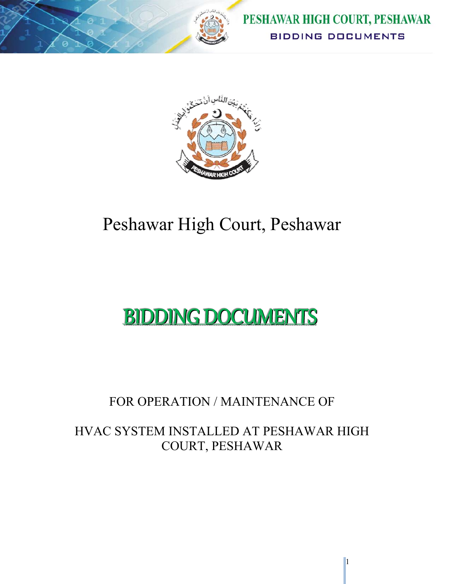



# Peshawar High Court, Peshawar

# BIDDING DOCUMENTS

# FOR OPERATION / MAINTENANCE OF

# HVAC SYSTEM INSTALLED AT PESHAWAR HIGH COURT, PESHAWAR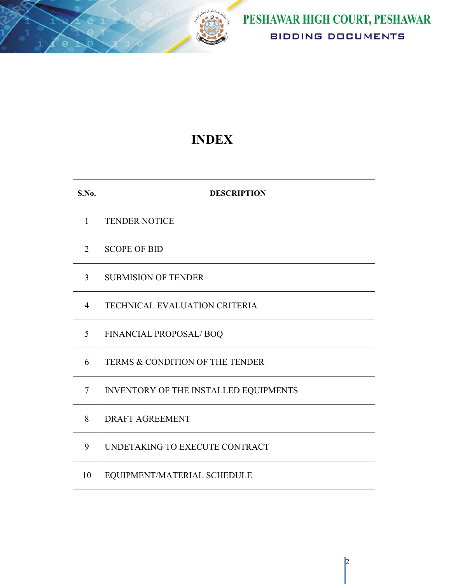

# **INDEX**

| S.No.          | <b>DESCRIPTION</b>                    |
|----------------|---------------------------------------|
| $\mathbf{1}$   | <b>TENDER NOTICE</b>                  |
| $\overline{2}$ | <b>SCOPE OF BID</b>                   |
| 3              | <b>SUBMISION OF TENDER</b>            |
| $\overline{4}$ | TECHNICAL EVALUATION CRITERIA         |
| 5              | FINANCIAL PROPOSAL/BOQ                |
| 6              | TERMS & CONDITION OF THE TENDER       |
| $\overline{7}$ | INVENTORY OF THE INSTALLED EQUIPMENTS |
| 8              | <b>DRAFT AGREEMENT</b>                |
| 9              | UNDETAKING TO EXECUTE CONTRACT        |
| 10             | EQUIPMENT/MATERIAL SCHEDULE           |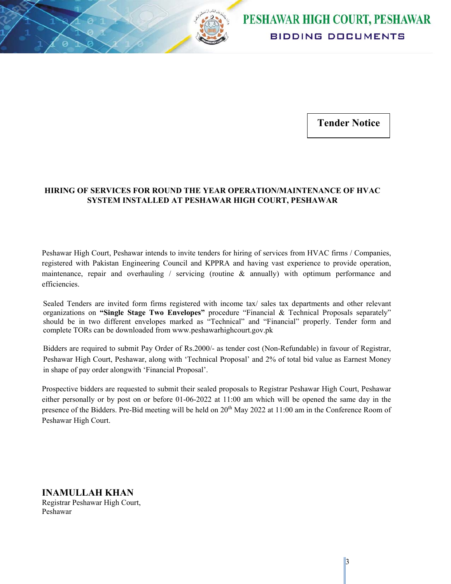

**Tender Notice** 

#### **HIRING OF SERVICES FOR ROUND THE YEAR OPERATION/MAINTENANCE OF HVAC SYSTEM INSTALLED AT PESHAWAR HIGH COURT, PESHAWAR**

Peshawar High Court, Peshawar intends to invite tenders for hiring of services from HVAC firms / Companies, registered with Pakistan Engineering Council and KPPRA and having vast experience to provide operation, maintenance, repair and overhauling / servicing (routine  $\&$  annually) with optimum performance and efficiencies.

Sealed Tenders are invited form firms registered with income tax/ sales tax departments and other relevant organizations on **"Single Stage Two Envelopes"** procedure "Financial & Technical Proposals separately" should be in two different envelopes marked as "Technical" and "Financial" properly. Tender form and complete TORs can be downloaded from www.peshawarhighcourt.gov.pk

Bidders are required to submit Pay Order of Rs.2000/- as tender cost (Non-Refundable) in favour of Registrar, Peshawar High Court, Peshawar, along with 'Technical Proposal' and 2% of total bid value as Earnest Money in shape of pay order alongwith 'Financial Proposal'.

Prospective bidders are requested to submit their sealed proposals to Registrar Peshawar High Court, Peshawar either personally or by post on or before 01-06-2022 at 11:00 am which will be opened the same day in the presence of the Bidders. Pre-Bid meeting will be held on 20<sup>th</sup> May 2022 at 11:00 am in the Conference Room of Peshawar High Court.

**INAMULLAH KHAN**  Registrar Peshawar High Court, Peshawar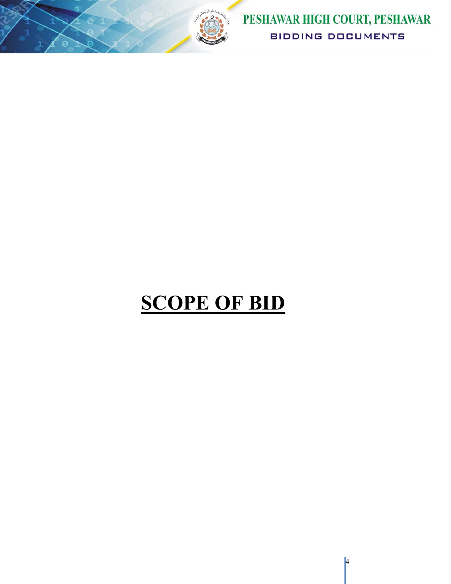

PESHAWAR HIGH COURT, PESHAWAR **BIDDING DOCUMENTS** 

# **SCOPE OF BID**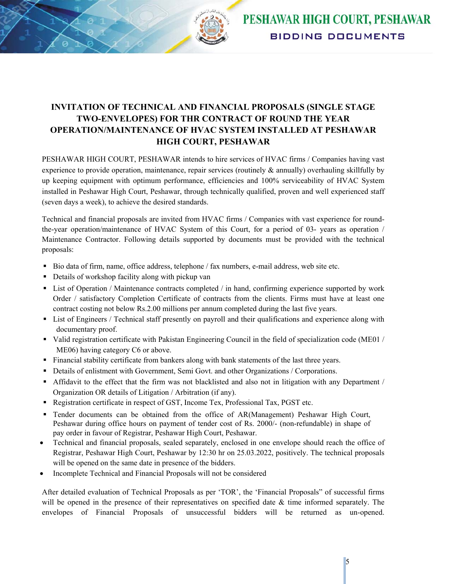

### **INVITATION OF TECHNICAL AND FINANCIAL PROPOSALS (SINGLE STAGE TWO-ENVELOPES) FOR THR CONTRACT OF ROUND THE YEAR OPERATION/MAINTENANCE OF HVAC SYSTEM INSTALLED AT PESHAWAR HIGH COURT, PESHAWAR**

PESHAWAR HIGH COURT, PESHAWAR intends to hire services of HVAC firms / Companies having vast experience to provide operation, maintenance, repair services (routinely & annually) overhauling skillfully by up keeping equipment with optimum performance, efficiencies and 100% serviceability of HVAC System installed in Peshawar High Court, Peshawar, through technically qualified, proven and well experienced staff (seven days a week), to achieve the desired standards.

Technical and financial proposals are invited from HVAC firms / Companies with vast experience for roundthe-year operation/maintenance of HVAC System of this Court, for a period of 03- years as operation / Maintenance Contractor. Following details supported by documents must be provided with the technical proposals:

- Bio data of firm, name, office address, telephone / fax numbers, e-mail address, web site etc.
- Details of workshop facility along with pickup van
- List of Operation / Maintenance contracts completed / in hand, confirming experience supported by work Order / satisfactory Completion Certificate of contracts from the clients. Firms must have at least one contract costing not below Rs.2.00 millions per annum completed during the last five years.
- List of Engineers / Technical staff presently on payroll and their qualifications and experience along with documentary proof.
- Valid registration certificate with Pakistan Engineering Council in the field of specialization code (ME01 / ME06) having category C6 or above.
- Financial stability certificate from bankers along with bank statements of the last three years.
- **Details of enlistment with Government, Semi Govt. and other Organizations / Corporations.**
- Affidavit to the effect that the firm was not blacklisted and also not in litigation with any Department / Organization OR details of Litigation / Arbitration (if any).
- Registration certificate in respect of GST, Income Tex, Professional Tax, PGST etc.
- Tender documents can be obtained from the office of AR(Management) Peshawar High Court, Peshawar during office hours on payment of tender cost of Rs. 2000/- (non-refundable) in shape of pay order in favour of Registrar, Peshawar High Court, Peshawar.
- Technical and financial proposals, sealed separately, enclosed in one envelope should reach the office of Registrar, Peshawar High Court, Peshawar by 12:30 hr on 25.03.2022, positively. The technical proposals will be opened on the same date in presence of the bidders.
- Incomplete Technical and Financial Proposals will not be considered

After detailed evaluation of Technical Proposals as per 'TOR', the 'Financial Proposals" of successful firms will be opened in the presence of their representatives on specified date  $\&$  time informed separately. The envelopes of Financial Proposals of unsuccessful bidders will be returned as un-opened.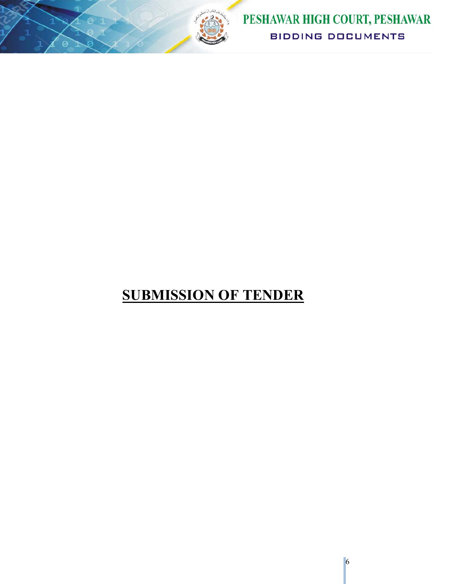

# **SUBMISSION OF TENDER**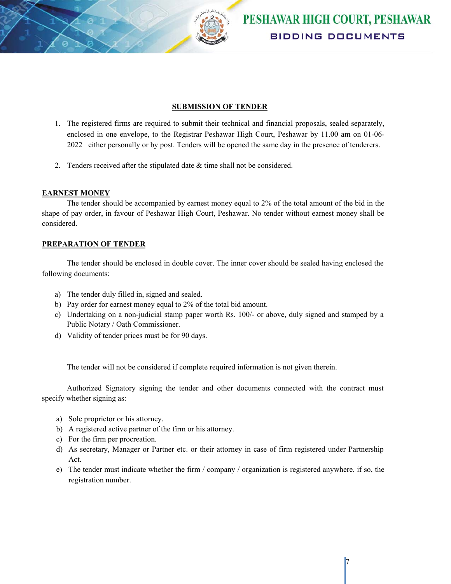

#### **SUBMISSION OF TENDER**

- 1. The registered firms are required to submit their technical and financial proposals, sealed separately, enclosed in one envelope, to the Registrar Peshawar High Court, Peshawar by 11.00 am on 01-06- 2022 either personally or by post. Tenders will be opened the same day in the presence of tenderers.
- 2. Tenders received after the stipulated date & time shall not be considered.

#### **EARNEST MONEY**

The tender should be accompanied by earnest money equal to 2% of the total amount of the bid in the shape of pay order, in favour of Peshawar High Court, Peshawar. No tender without earnest money shall be considered.

#### **PREPARATION OF TENDER**

The tender should be enclosed in double cover. The inner cover should be sealed having enclosed the following documents:

- a) The tender duly filled in, signed and sealed.
- b) Pay order for earnest money equal to 2% of the total bid amount.
- c) Undertaking on a non-judicial stamp paper worth Rs. 100/- or above, duly signed and stamped by a Public Notary / Oath Commissioner.
- d) Validity of tender prices must be for 90 days.

The tender will not be considered if complete required information is not given therein.

Authorized Signatory signing the tender and other documents connected with the contract must specify whether signing as:

- a) Sole proprietor or his attorney.
- b) A registered active partner of the firm or his attorney.
- c) For the firm per procreation.
- d) As secretary, Manager or Partner etc. or their attorney in case of firm registered under Partnership Act.
- e) The tender must indicate whether the firm / company / organization is registered anywhere, if so, the registration number.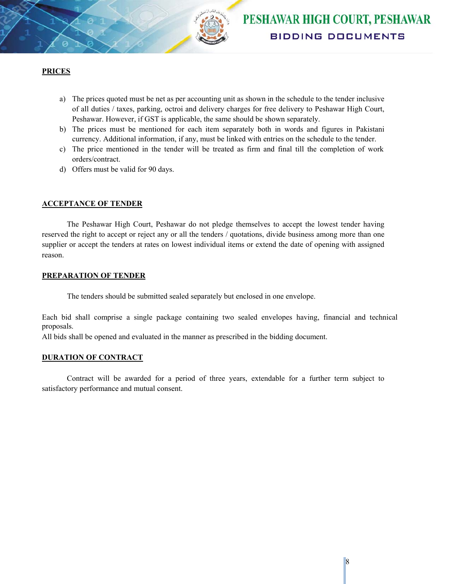

#### **PRICES**

- a) The prices quoted must be net as per accounting unit as shown in the schedule to the tender inclusive of all duties / taxes, parking, octroi and delivery charges for free delivery to Peshawar High Court, Peshawar. However, if GST is applicable, the same should be shown separately.
- b) The prices must be mentioned for each item separately both in words and figures in Pakistani currency. Additional information, if any, must be linked with entries on the schedule to the tender.
- c) The price mentioned in the tender will be treated as firm and final till the completion of work orders/contract.
- d) Offers must be valid for 90 days.

#### **ACCEPTANCE OF TENDER**

The Peshawar High Court, Peshawar do not pledge themselves to accept the lowest tender having reserved the right to accept or reject any or all the tenders / quotations, divide business among more than one supplier or accept the tenders at rates on lowest individual items or extend the date of opening with assigned reason.

#### **PREPARATION OF TENDER**

The tenders should be submitted sealed separately but enclosed in one envelope.

Each bid shall comprise a single package containing two sealed envelopes having, financial and technical proposals.

All bids shall be opened and evaluated in the manner as prescribed in the bidding document.

#### **DURATION OF CONTRACT**

Contract will be awarded for a period of three years, extendable for a further term subject to satisfactory performance and mutual consent.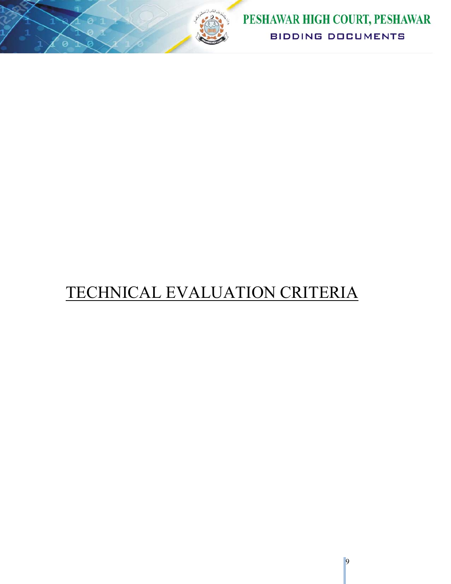

# TECHNICAL EVALUATION CRITERIA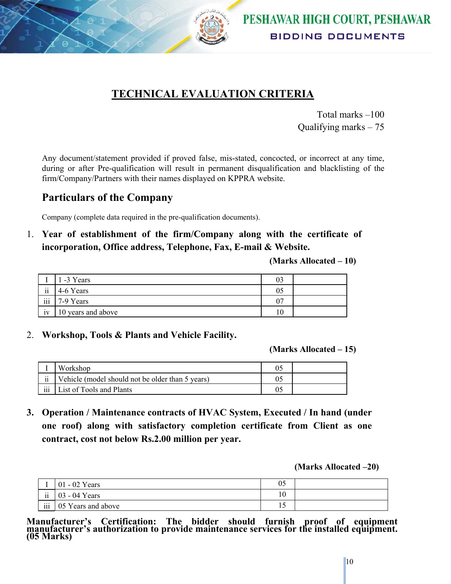

### **TECHNICAL EVALUATION CRITERIA**

Total marks –100 Qualifying marks – 75

Any document/statement provided if proved false, mis-stated, concocted, or incorrect at any time, during or after Pre-qualification will result in permanent disqualification and blacklisting of the firm/Company/Partners with their names displayed on KPPRA website.

### **Particulars of the Company**

Company (complete data required in the pre-qualification documents).

1. **Year of establishment of the firm/Company along with the certificate of incorporation, Office address, Telephone, Fax, E-mail & Website.**

**(Marks Allocated – 10)** 

|                 | -3 Years           | 03 |  |
|-----------------|--------------------|----|--|
| $\rm ii$        | 4-6 Years          | 05 |  |
| iii             | 7-9 Years          | 07 |  |
| $\bullet$<br>1V | 10 years and above | 10 |  |

2. **Workshop, Tools & Plants and Vehicle Facility.**

**(Marks Allocated – 15)** 

|                     | Workshop                                         |  |
|---------------------|--------------------------------------------------|--|
| $\ddot{\mathbf{i}}$ | Vehicle (model should not be older than 5 years) |  |
| iii                 | List of Tools and Plants                         |  |

**3. Operation / Maintenance contracts of HVAC System, Executed / In hand (under one roof) along with satisfactory completion certificate from Client as one contract, cost not below Rs.2.00 million per year.** 

**(Marks Allocated –20)** 

|                         | 01 - 02 Years      | 05               |  |
|-------------------------|--------------------|------------------|--|
| $\rm ii$                | - 04 Years<br>03   | $\sqrt{ }$<br>ΙU |  |
| $\overline{\text{iii}}$ | 05 Years and above | $\overline{1}$   |  |

**Manufacturer's Certification: The bidder should furnish proof of equipment manufacturer's authorization to provide maintenance services for the installed equipment. (05 Marks)**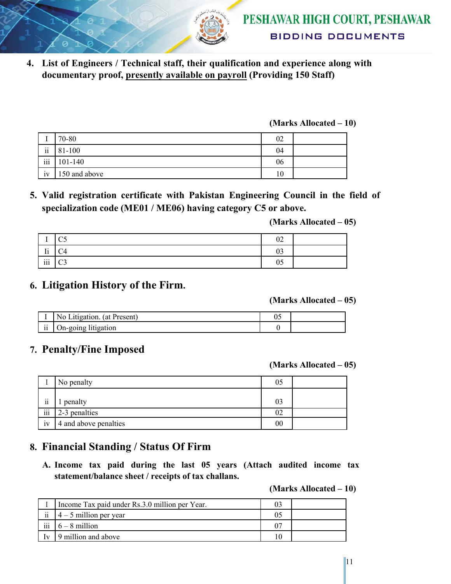

**4. List of Engineers / Technical staff, their qualification and experience along with documentary proof, presently available on payroll (Providing 150 Staff)** 

#### **(Marks Allocated – 10)**

|                     | 70-80         | 02 |  |
|---------------------|---------------|----|--|
| $\ddot{\mathbf{i}}$ | 81-100        | 04 |  |
| iii                 | 101-140       | 06 |  |
| iv                  | 150 and above | 10 |  |

**5. Valid registration certificate with Pakistan Engineering Council in the field of specialization code (ME01 / ME06) having category C5 or above.** 

**(Marks Allocated – 05)** 

| $\overline{\phantom{a}}$ | $\sim$ $\epsilon$<br>ັບ | 02       |  |
|--------------------------|-------------------------|----------|--|
| $\mathbf{r}$<br>11       | $\cap$<br>◡┭            | റാ<br>UJ |  |
| $\rm iii$                | $\cap$<br>ັ             | 05       |  |

### **6. Litigation History of the Firm.**

**(Marks Allocated – 05)** 

|                 | (at Present)<br>Litigation.<br>N <sub>0</sub> | υJ |  |
|-----------------|-----------------------------------------------|----|--|
| $\cdots$<br>-11 | On-going litigation                           |    |  |

### **7. Penalty/Fine Imposed**

**(Marks Allocated – 05)** 

|                     | No penalty            | 05 |  |
|---------------------|-----------------------|----|--|
| $\cdot \cdot$<br>11 | penalty               | 03 |  |
| iii                 | 2-3 penalties         | 02 |  |
| $\bullet$<br>1V     | 4 and above penalties | 00 |  |

### **8. Financial Standing / Status Of Firm**

**A. Income tax paid during the last 05 years (Attach audited income tax statement/balance sheet / receipts of tax challans.** 

**(Marks Allocated – 10)** 

|                | Income Tax paid under Rs.3.0 million per Year. |  |
|----------------|------------------------------------------------|--|
| $\ddot{\rm n}$ | $4 - 5$ million per year                       |  |
| iii            | $6 - 8$ million                                |  |
| $\mathbf{v}$   | 9 million and above                            |  |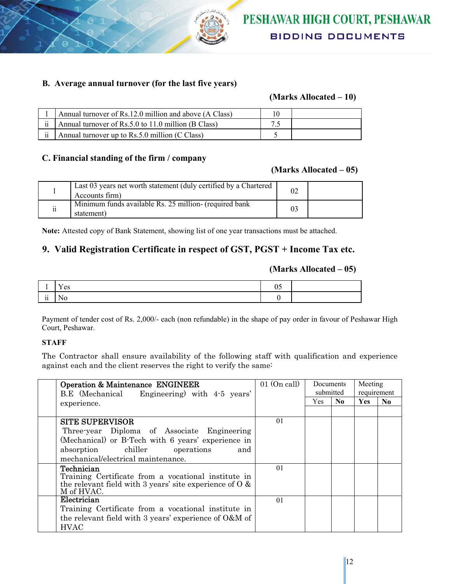

#### **B. Average annual turnover (for the last five years)**

#### **(Marks Allocated – 10)**

|                     | Annual turnover of Rs.12.0 million and above (A Class) |  |
|---------------------|--------------------------------------------------------|--|
| $\ddot{\mathbf{i}}$ | Annual turnover of Rs.5.0 to 11.0 million (B Class)    |  |
| $\ddot{\mathbf{i}}$ | Annual turnover up to Rs.5.0 million (C Class)         |  |

#### **C. Financial standing of the firm / company**

#### **(Marks Allocated – 05)**

|                          | Last 03 years net worth statement (duly certified by a Chartered<br>Accounts firm) |  |
|--------------------------|------------------------------------------------------------------------------------|--|
| $\overline{\textbf{ii}}$ | Minimum funds available Rs. 25 million- (required bank<br>statement)               |  |

**Note:** Attested copy of Bank Statement, showing list of one year transactions must be attached.

#### **9. Valid Registration Certificate in respect of GST, PGST + Income Tax etc.**

#### **(Marks Allocated – 05)**

| л.                            | es |  |
|-------------------------------|----|--|
| $\cdot \cdot$<br>$\mathbf{H}$ |    |  |

Payment of tender cost of Rs. 2,000/- each (non refundable) in the shape of pay order in favour of Peshawar High Court, Peshawar.

#### **STAFF**

The Contractor shall ensure availability of the following staff with qualification and experience against each and the client reserves the right to verify the same:

| <b>Operation &amp; Maintenance ENGINEER</b><br>B.E (Mechanical Engineering) with 4-5 years'                                                                                                   | $01$ (On call) | <b>Documents</b><br>submitted |     | Meeting<br>requirement |                |
|-----------------------------------------------------------------------------------------------------------------------------------------------------------------------------------------------|----------------|-------------------------------|-----|------------------------|----------------|
| experience.                                                                                                                                                                                   |                | Yes.                          | No. | <b>Yes</b>             | N <sub>0</sub> |
| <b>SITE SUPERVISOR</b><br>Three-year Diploma of Associate Engineering<br>(Mechanical) or B-Tech with 6 years' experience in<br>absorption chiller operations<br>and                           | 01             |                               |     |                        |                |
| mechanical/electrical maintenance.<br>Technician<br>Training Certificate from a vocational institute in<br>the relevant field with 3 years' site experience of $\overline{O}$ &<br>M of HVAC. | 01             |                               |     |                        |                |
| Electrician<br>Training Certificate from a vocational institute in<br>the relevant field with 3 years' experience of $O\&M$ of<br><b>HVAC</b>                                                 | 01             |                               |     |                        |                |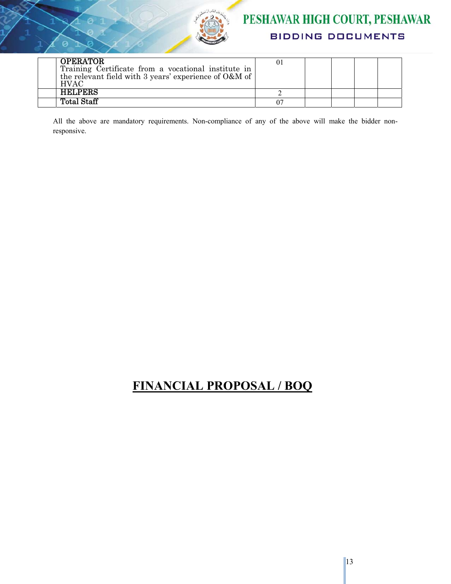

## PESHAWAR HIGH COURT, PESHAWAR **BIDDING DOCUMENTS**

| <b>OPERATOR</b><br>Training Certificate from a vocational institute in<br>the relevant field with 3 years' experience of O&M of<br><b>HVAC</b> |  |  |  |
|------------------------------------------------------------------------------------------------------------------------------------------------|--|--|--|
| <b>HELPERS</b>                                                                                                                                 |  |  |  |
| Total Staff                                                                                                                                    |  |  |  |

All the above are mandatory requirements. Non-compliance of any of the above will make the bidder nonresponsive.

## **FINANCIAL PROPOSAL / BOQ**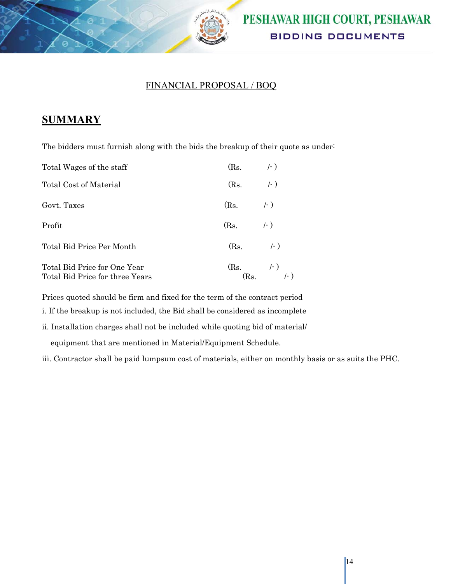

### FINANCIAL PROPOSAL / BOQ

### **SUMMARY**

The bidders must furnish along with the bids the breakup of their quote as under:

| Total Wages of the staff                                        | (Rs.         | $( - )$                 |
|-----------------------------------------------------------------|--------------|-------------------------|
| Total Cost of Material                                          | (Rs.         | $(-)$                   |
| Govt. Taxes                                                     | (Rs.         | $/ - )$                 |
| Profit                                                          | (Rs.         | $(-)$                   |
| Total Bid Price Per Month                                       | $(Rs. \t-1)$ |                         |
| Total Bid Price for One Year<br>Total Bid Price for three Years |              | (Rs. $\binom{l+1}{l+1}$ |

Prices quoted should be firm and fixed for the term of the contract period

i. If the breakup is not included, the Bid shall be considered as incomplete

ii. Installation charges shall not be included while quoting bid of material/

equipment that are mentioned in Material/Equipment Schedule.

iii. Contractor shall be paid lumpsum cost of materials, either on monthly basis or as suits the PHC.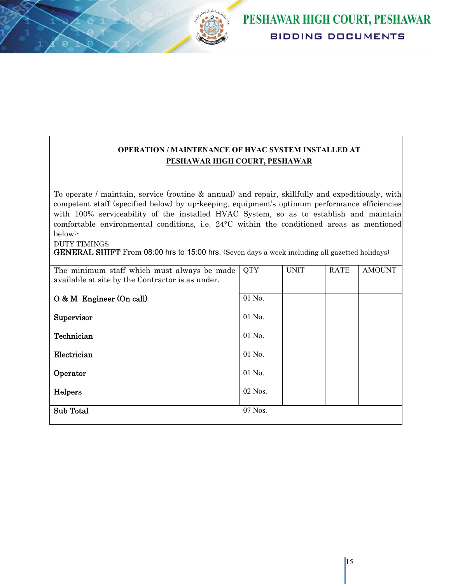

### **OPERATION / MAINTENANCE OF HVAC SYSTEM INSTALLED AT PESHAWAR HIGH COURT, PESHAWAR**

To operate / maintain, service (routine & annual) and repair, skillfully and expeditiously, with competent staff (specified below) by up-keeping, equipment's optimum performance efficiencies with 100% serviceability of the installed HVAC System, so as to establish and maintain comfortable environmental conditions, i.e. 24°C within the conditioned areas as mentioned below:-

DUTY TIMINGS

GENERAL SHIFT From 08:00 hrs to 15:00 hrs. (Seven days a week including all gazetted holidays)

| The minimum staff which must always be made<br>available at site by the Contractor is as under. | <b>QTY</b> | <b>UNIT</b> | <b>RATE</b> | <b>AMOUNT</b> |
|-------------------------------------------------------------------------------------------------|------------|-------------|-------------|---------------|
| $O & M$ Engineer (On call)                                                                      | 01 No.     |             |             |               |
| Supervisor                                                                                      | 01 No.     |             |             |               |
| Technician                                                                                      | 01 No.     |             |             |               |
| Electrician                                                                                     | 01 No.     |             |             |               |
| Operator                                                                                        | 01 No.     |             |             |               |
| Helpers                                                                                         | 02 Nos.    |             |             |               |
| Sub Total                                                                                       | 07 Nos.    |             |             |               |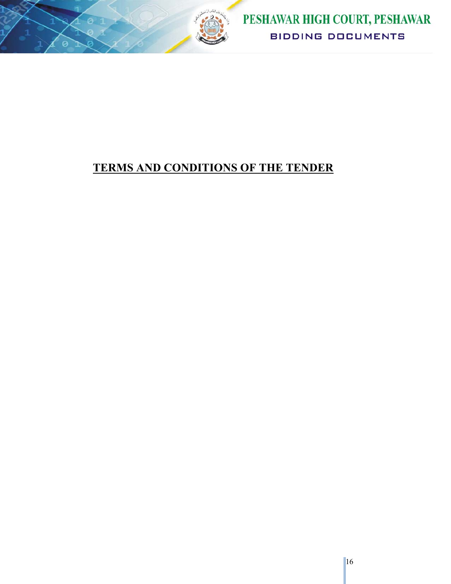

## **TERMS AND CONDITIONS OF THE TENDER**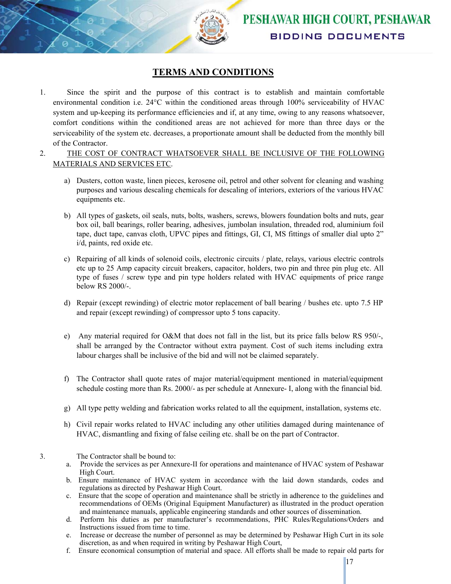

### **TERMS AND CONDITIONS**

- 1. Since the spirit and the purpose of this contract is to establish and maintain comfortable environmental condition i.e. 24°C within the conditioned areas through 100% serviceability of HVAC system and up-keeping its performance efficiencies and if, at any time, owing to any reasons whatsoever, comfort conditions within the conditioned areas are not achieved for more than three days or the serviceability of the system etc. decreases, a proportionate amount shall be deducted from the monthly bill of the Contractor.
- 2. THE COST OF CONTRACT WHATSOEVER SHALL BE INCLUSIVE OF THE FOLLOWING MATERIALS AND SERVICES ETC.
	- a) Dusters, cotton waste, linen pieces, kerosene oil, petrol and other solvent for cleaning and washing purposes and various descaling chemicals for descaling of interiors, exteriors of the various HVAC equipments etc.
	- b) All types of gaskets, oil seals, nuts, bolts, washers, screws, blowers foundation bolts and nuts, gear box oil, ball bearings, roller bearing, adhesives, jumbolan insulation, threaded rod, aluminium foil tape, duct tape, canvas cloth, UPVC pipes and fittings, GI, CI, MS fittings of smaller dial upto 2" i/d, paints, red oxide etc.
	- c) Repairing of all kinds of solenoid coils, electronic circuits / plate, relays, various electric controls etc up to 25 Amp capacity circuit breakers, capacitor, holders, two pin and three pin plug etc. All type of fuses / screw type and pin type holders related with HVAC equipments of price range below RS 2000/-.
	- d) Repair (except rewinding) of electric motor replacement of ball bearing / bushes etc. upto 7.5 HP and repair (except rewinding) of compressor upto 5 tons capacity.
	- e) Any material required for O&M that does not fall in the list, but its price falls below RS 950/-, shall be arranged by the Contractor without extra payment. Cost of such items including extra labour charges shall be inclusive of the bid and will not be claimed separately.
	- f) The Contractor shall quote rates of major material/equipment mentioned in material/equipment schedule costing more than Rs. 2000/- as per schedule at Annexure- I, along with the financial bid.
	- g) All type petty welding and fabrication works related to all the equipment, installation, systems etc.
	- h) Civil repair works related to HVAC including any other utilities damaged during maintenance of HVAC, dismantling and fixing of false ceiling etc. shall be on the part of Contractor.
- 3. The Contractor shall be bound to:
	- a. Provide the services as per Annexure-II for operations and maintenance of HVAC system of Peshawar High Court.
	- b. Ensure maintenance of HVAC system in accordance with the laid down standards, codes and regulations as directed by Peshawar High Court.
	- c. Ensure that the scope of operation and maintenance shall be strictly in adherence to the guidelines and recommendations of OEMs (Original Equipment Manufacturer) as illustrated in the product operation and maintenance manuals, applicable engineering standards and other sources of dissemination.
	- d. Perform his duties as per manufacturer's recommendations, PHC Rules/Regulations/Orders and Instructions issued from time to time.
	- e. Increase or decrease the number of personnel as may be determined by Peshawar High Curt in its sole discretion, as and when required in writing by Peshawar High Court,
	- f. Ensure economical consumption of material and space. All efforts shall be made to repair old parts for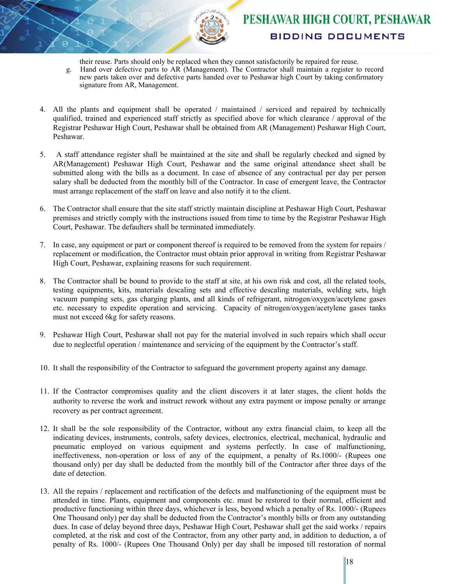

their reuse. Parts should only be replaced when they cannot satisfactorily be repaired for reuse.

- g. Hand over defective parts to AR (Management). The Contractor shall maintain a register to record new parts taken over and defective parts handed over to Peshawar high Court by taking confirmatory signature from AR, Management.
- 4. All the plants and equipment shall be operated / maintained / serviced and repaired by technically qualified, trained and experienced staff strictly as specified above for which clearance / approval of the Registrar Peshawar High Court, Peshawar shall be obtained from AR (Management) Peshawar High Court, Peshawar.
- 5. A staff attendance register shall be maintained at the site and shall be regularly checked and signed by AR(Management) Peshawar High Court, Peshawar and the same original attendance sheet shall be submitted along with the bills as a document. In case of absence of any contractual per day per person salary shall be deducted from the monthly bill of the Contractor. In case of emergent leave, the Contractor must arrange replacement of the staff on leave and also notify it to the client.
- 6. The Contractor shall ensure that the site staff strictly maintain discipline at Peshawar High Court, Peshawar premises and strictly comply with the instructions issued from time to time by the Registrar Peshawar High Court, Peshawar. The defaulters shall be terminated immediately.
- 7. In case, any equipment or part or component thereof is required to be removed from the system for repairs / replacement or modification, the Contractor must obtain prior approval in writing from Registrar Peshawar High Court, Peshawar, explaining reasons for such requirement.
- 8. The Contractor shall be bound to provide to the staff at site, at his own risk and cost, all the related tools, testing equipments, kits, materials descaling sets and effective descaling materials, welding sets, high vacuum pumping sets, gas charging plants, and all kinds of refrigerant, nitrogen/oxygen/acetylene gases etc. necessary to expedite operation and servicing. Capacity of nitrogen/oxygen/acetylene gases tanks must not exceed 6kg for safety reasons.
- 9. Peshawar High Court, Peshawar shall not pay for the material involved in such repairs which shall occur due to neglectful operation / maintenance and servicing of the equipment by the Contractor's staff.
- 10. It shall the responsibility of the Contractor to safeguard the government property against any damage.
- 11. If the Contractor compromises quality and the client discovers it at later stages, the client holds the authority to reverse the work and instruct rework without any extra payment or impose penalty or arrange recovery as per contract agreement.
- 12. It shall be the sole responsibility of the Contractor, without any extra financial claim, to keep all the indicating devices, instruments, controls, safety devices, electronics, electrical, mechanical, hydraulic and pneumatic employed on various equipment and systems perfectly. In case of malfunctioning, ineffectiveness, non-operation or loss of any of the equipment, a penalty of Rs.1000/- (Rupees one thousand only) per day shall be deducted from the monthly bill of the Contractor after three days of the date of detection.
- 13. All the repairs / replacement and rectification of the defects and malfunctioning of the equipment must be attended in time. Plants, equipment and components etc. must be restored to their normal, efficient and productive functioning within three days, whichever is less, beyond which a penalty of Rs. 1000/- (Rupees One Thousand only) per day shall be deducted from the Contractor's monthly bills or from any outstanding dues. In case of delay beyond three days, Peshawar High Court, Peshawar shall get the said works / repairs completed, at the risk and cost of the Contractor, from any other party and, in addition to deduction, a of penalty of Rs. 1000/- (Rupees One Thousand Only) per day shall be imposed till restoration of normal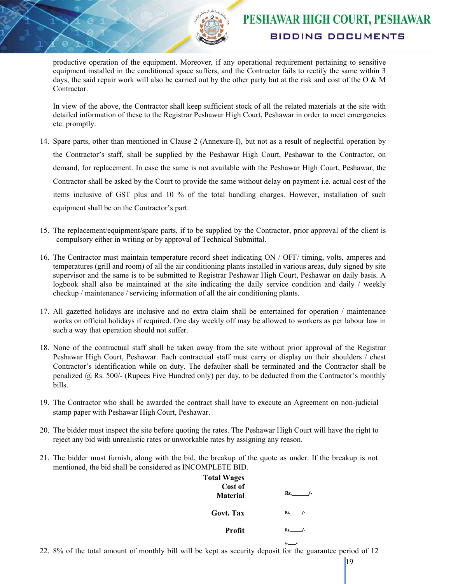productive operation of the equipment. Moreover, if any operational requirement pertaining to sensitive equipment installed in the conditioned space suffers, and the Contractor fails to rectify the same within 3 days, the said repair work will also be carried out by the other party but at the risk and cost of the O & M Contractor.

In view of the above, the Contractor shall keep sufficient stock of all the related materials at the site with detailed information of these to the Registrar Peshawar High Court, Peshawar in order to meet emergencies etc. promptly.

- 14. Spare parts, other than mentioned in Clause 2 (Annexure-I), but not as a result of neglectful operation by the Contractor's staff, shall be supplied by the Peshawar High Court, Peshawar to the Contractor, on demand, for replacement. In case the same is not available with the Peshawar High Court, Peshawar, the Contractor shall be asked by the Court to provide the same without delay on payment i.e. actual cost of the items inclusive of GST plus and 10 % of the total handling charges. However, installation of such equipment shall be on the Contractor's part.
- 15. The replacement/equipment/spare parts, if to be supplied by the Contractor, prior approval of the client is compulsory either in writing or by approval of Technical Submittal.
- 16. The Contractor must maintain temperature record sheet indicating ON / OFF/ timing, volts, amperes and temperatures (grill and room) of all the air conditioning plants installed in various areas, duly signed by site supervisor and the same is to be submitted to Registrar Peshawar High Court, Peshawar on daily basis. A logbook shall also be maintained at the site indicating the daily service condition and daily / weekly checkup / maintenance / servicing information of all the air conditioning plants.
- 17. All gazetted holidays are inclusive and no extra claim shall be entertained for operation / maintenance works on official holidays if required. One day weekly off may be allowed to workers as per labour law in such a way that operation should not suffer.
- 18. None of the contractual staff shall be taken away from the site without prior approval of the Registrar Peshawar High Court, Peshawar. Each contractual staff must carry or display on their shoulders / chest Contractor's identification while on duty. The defaulter shall be terminated and the Contractor shall be penalized  $(a)$  Rs. 500/- (Rupees Five Hundred only) per day, to be deducted from the Contractor's monthly bills.
- 19. The Contractor who shall be awarded the contract shall have to execute an Agreement on non-judicial stamp paper with Peshawar High Court, Peshawar.
- 20. The bidder must inspect the site before quoting the rates. The Peshawar High Court will have the right to reject any bid with unrealistic rates or unworkable rates by assigning any reason.
- 21. The bidder must furnish, along with the bid, the breakup of the quote as under. If the breakup is not mentioned, the bid shall be considered as INCOMPLETE BID.

| <b>Total Wages</b><br>Cost of<br><b>Material</b> | Rs. In the set of the set of the set of the set of the set of the set of the set of the set of the set of the set of the set of the set of the set of the set of the set of the set of the set of the set of the set of the se |
|--------------------------------------------------|--------------------------------------------------------------------------------------------------------------------------------------------------------------------------------------------------------------------------------|
| Govt. Tax                                        | Rs.                                                                                                                                                                                                                            |
| Profit                                           | Rs.                                                                                                                                                                                                                            |
|                                                  | Rs.                                                                                                                                                                                                                            |

22. 8% of the total amount of monthly bill will be kept as security deposit for the guarantee period of 12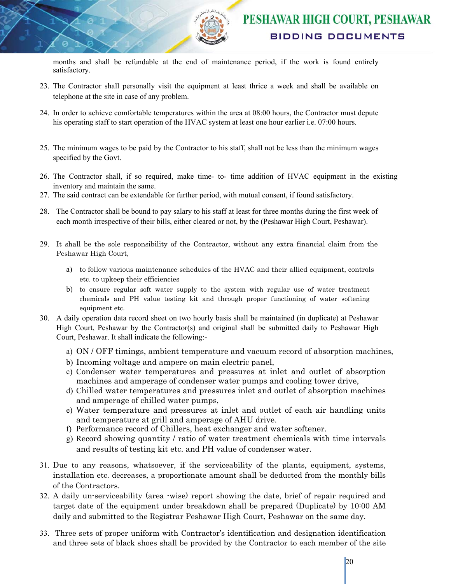

months and shall be refundable at the end of maintenance period, if the work is found entirely satisfactory.

- 23. The Contractor shall personally visit the equipment at least thrice a week and shall be available on telephone at the site in case of any problem.
- 24. In order to achieve comfortable temperatures within the area at 08:00 hours, the Contractor must depute his operating staff to start operation of the HVAC system at least one hour earlier i.e. 07:00 hours.
- 25. The minimum wages to be paid by the Contractor to his staff, shall not be less than the minimum wages specified by the Govt.
- 26. The Contractor shall, if so required, make time- to- time addition of HVAC equipment in the existing inventory and maintain the same.
- 27. The said contract can be extendable for further period, with mutual consent, if found satisfactory.
- 28. The Contractor shall be bound to pay salary to his staff at least for three months during the first week of each month irrespective of their bills, either cleared or not, by the (Peshawar High Court, Peshawar).
- 29. It shall be the sole responsibility of the Contractor, without any extra financial claim from the Peshawar High Court,
	- a) to follow various maintenance schedules of the HVAC and their allied equipment, controls etc. to upkeep their efficiencies
	- b) to ensure regular soft water supply to the system with regular use of water treatment chemicals and PH value testing kit and through proper functioning of water softening equipment etc.
- 30. A daily operation data record sheet on two hourly basis shall be maintained (in duplicate) at Peshawar High Court, Peshawar by the Contractor(s) and original shall be submitted daily to Peshawar High Court, Peshawar. It shall indicate the following:
	- a) ON / OFF timings, ambient temperature and vacuum record of absorption machines,
	- b) Incoming voltage and ampere on main electric panel,
	- c) Condenser water temperatures and pressures at inlet and outlet of absorption machines and amperage of condenser water pumps and cooling tower drive,
	- d) Chilled water temperatures and pressures inlet and outlet of absorption machines and amperage of chilled water pumps,
	- e) Water temperature and pressures at inlet and outlet of each air handling units and temperature at grill and amperage of AHU drive.
	- f) Performance record of Chillers, heat exchanger and water softener.
	- g) Record showing quantity / ratio of water treatment chemicals with time intervals and results of testing kit etc. and PH value of condenser water.
- 31. Due to any reasons, whatsoever, if the serviceability of the plants, equipment, systems, installation etc. decreases, a proportionate amount shall be deducted from the monthly bills of the Contractors.
- 32. A daily un-serviceability (area -wise) report showing the date, brief of repair required and target date of the equipment under breakdown shall be prepared (Duplicate) by 10:00 AM daily and submitted to the Registrar Peshawar High Court, Peshawar on the same day.
- 33. Three sets of proper uniform with Contractor's identification and designation identification and three sets of black shoes shall be provided by the Contractor to each member of the site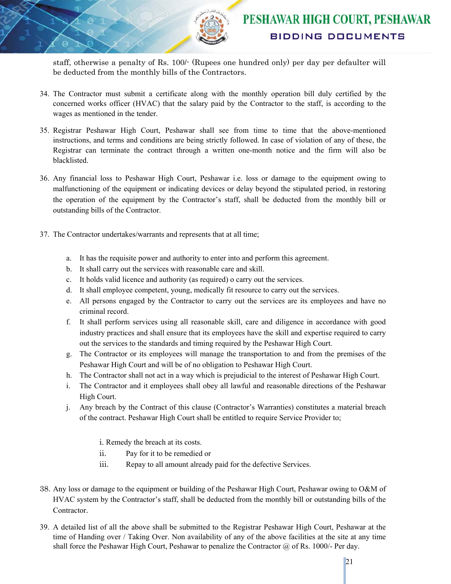staff, otherwise a penalty of Rs. 100/- (Rupees one hundred only) per day per defaulter will be deducted from the monthly bills of the Contractors.

- 34. The Contractor must submit a certificate along with the monthly operation bill duly certified by the concerned works officer (HVAC) that the salary paid by the Contractor to the staff, is according to the wages as mentioned in the tender.
- 35. Registrar Peshawar High Court, Peshawar shall see from time to time that the above-mentioned instructions, and terms and conditions are being strictly followed. In case of violation of any of these, the Registrar can terminate the contract through a written one-month notice and the firm will also be blacklisted.
- 36. Any financial loss to Peshawar High Court, Peshawar i.e. loss or damage to the equipment owing to malfunctioning of the equipment or indicating devices or delay beyond the stipulated period, in restoring the operation of the equipment by the Contractor's staff, shall be deducted from the monthly bill or outstanding bills of the Contractor.
- 37. The Contractor undertakes/warrants and represents that at all time;
	- a. It has the requisite power and authority to enter into and perform this agreement.
	- b. It shall carry out the services with reasonable care and skill.
	- c. It holds valid licence and authority (as required) o carry out the services.
	- d. It shall employee competent, young, medically fit resource to carry out the services.
	- e. All persons engaged by the Contractor to carry out the services are its employees and have no criminal record.
	- f. It shall perform services using all reasonable skill, care and diligence in accordance with good industry practices and shall ensure that its employees have the skill and expertise required to carry out the services to the standards and timing required by the Peshawar High Court.
	- g. The Contractor or its employees will manage the transportation to and from the premises of the Peshawar High Court and will be of no obligation to Peshawar High Court.
	- h. The Contractor shall not act in a way which is prejudicial to the interest of Peshawar High Court.
	- i. The Contractor and it employees shall obey all lawful and reasonable directions of the Peshawar High Court.
	- j. Any breach by the Contract of this clause (Contractor's Warranties) constitutes a material breach of the contract. Peshawar High Court shall be entitled to require Service Provider to;

i. Remedy the breach at its costs.

- ii. Pay for it to be remedied or
- iii. Repay to all amount already paid for the defective Services.
- 38. Any loss or damage to the equipment or building of the Peshawar High Court, Peshawar owing to O&M of HVAC system by the Contractor's staff, shall be deducted from the monthly bill or outstanding bills of the Contractor.
- 39. A detailed list of all the above shall be submitted to the Registrar Peshawar High Court, Peshawar at the time of Handing over / Taking Over. Non availability of any of the above facilities at the site at any time shall force the Peshawar High Court, Peshawar to penalize the Contractor  $\omega$  of Rs. 1000/- Per day.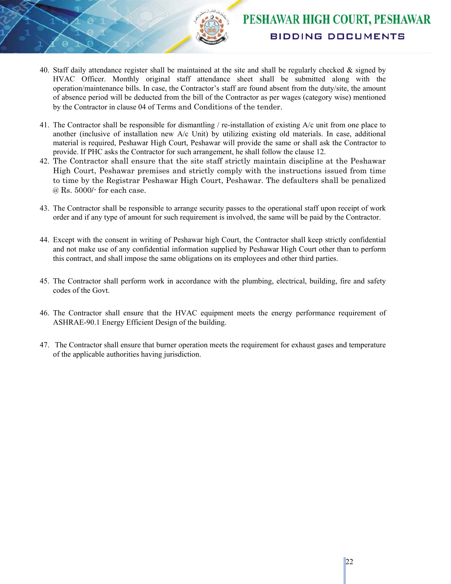

- 40. Staff daily attendance register shall be maintained at the site and shall be regularly checked & signed by HVAC Officer. Monthly original staff attendance sheet shall be submitted along with the operation/maintenance bills. In case, the Contractor's staff are found absent from the duty/site, the amount of absence period will be deducted from the bill of the Contractor as per wages (category wise) mentioned by the Contractor in clause 04 of Terms and Conditions of the tender.
- 41. The Contractor shall be responsible for dismantling / re-installation of existing A/c unit from one place to another (inclusive of installation new A/c Unit) by utilizing existing old materials. In case, additional material is required, Peshawar High Court, Peshawar will provide the same or shall ask the Contractor to provide. If PHC asks the Contractor for such arrangement, he shall follow the clause 12.
- 42. The Contractor shall ensure that the site staff strictly maintain discipline at the Peshawar High Court, Peshawar premises and strictly comply with the instructions issued from time to time by the Registrar Peshawar High Court, Peshawar. The defaulters shall be penalized @ Rs. 5000/- for each case.
- 43. The Contractor shall be responsible to arrange security passes to the operational staff upon receipt of work order and if any type of amount for such requirement is involved, the same will be paid by the Contractor.
- 44. Except with the consent in writing of Peshawar high Court, the Contractor shall keep strictly confidential and not make use of any confidential information supplied by Peshawar High Court other than to perform this contract, and shall impose the same obligations on its employees and other third parties.
- 45. The Contractor shall perform work in accordance with the plumbing, electrical, building, fire and safety codes of the Govt.
- 46. The Contractor shall ensure that the HVAC equipment meets the energy performance requirement of ASHRAE-90.1 Energy Efficient Design of the building.
- 47. The Contractor shall ensure that burner operation meets the requirement for exhaust gases and temperature of the applicable authorities having jurisdiction.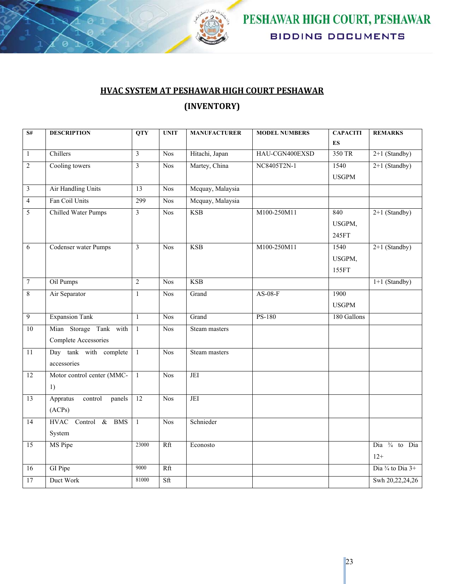

### **HVAC SYSTEM AT PESHAWAR HIGH COURT PESHAWAR (INVENTORY)**

| $\mathbf{S} \#$ | <b>DESCRIPTION</b>            | <b>QTY</b>      | <b>UNIT</b>             | <b>MANUFACTURER</b> | <b>MODEL NUMBERS</b>     | <b>CAPACITI</b> | <b>REMARKS</b>              |
|-----------------|-------------------------------|-----------------|-------------------------|---------------------|--------------------------|-----------------|-----------------------------|
|                 |                               |                 |                         |                     |                          | ES              |                             |
| $\mathbf{1}$    | Chillers                      | $\mathfrak{Z}$  | <b>Nos</b>              | Hitachi, Japan      | 350 TR<br>HAU-CGN400EXSD |                 | $2+1$ (Standby)             |
| $\overline{2}$  | Cooling towers                | 3               | Nos                     | Martey, China       | NC8405T2N-1              | 1540            | $2+1$ (Standby)             |
|                 |                               |                 |                         |                     |                          | <b>USGPM</b>    |                             |
| $\overline{3}$  | Air Handling Units            | 13              | <b>Nos</b>              | Mcquay, Malaysia    |                          |                 |                             |
| $\overline{4}$  | Fan Coil Units                | 299             | <b>Nos</b>              | Mcquay, Malaysia    |                          |                 |                             |
| $\overline{5}$  | <b>Chilled Water Pumps</b>    | $\mathfrak{Z}$  | <b>Nos</b>              | <b>KSB</b>          | M100-250M11              | 840             | $2+1$ (Standby)             |
|                 |                               |                 |                         |                     |                          | USGPM,          |                             |
|                 |                               |                 |                         |                     |                          | 245FT           |                             |
| $\overline{6}$  | <b>Codenser water Pumps</b>   | 3               | <b>Nos</b>              | <b>KSB</b>          | M100-250M11              | 1540            | $2+1$ (Standby)             |
|                 |                               |                 |                         |                     |                          | USGPM,          |                             |
|                 |                               |                 |                         |                     |                          | 155FT           |                             |
| $\overline{7}$  | Oil Pumps                     | $\overline{2}$  | <b>Nos</b>              | <b>KSB</b>          |                          |                 | $1+1$ (Standby)             |
| $\overline{8}$  | Air Separator                 | $\mathbf{1}$    | <b>Nos</b>              | Grand               | $AS-08-F$                | 1900            |                             |
|                 |                               |                 |                         |                     |                          | <b>USGPM</b>    |                             |
| $\overline{9}$  | <b>Expansion Tank</b>         | $\mathbf{1}$    | Nos                     | Grand               | <b>PS-180</b>            | 180 Gallons     |                             |
| 10              | Mian Storage Tank with        | $\overline{1}$  | <b>Nos</b>              | Steam masters       |                          |                 |                             |
|                 | Complete Accessories          |                 |                         |                     |                          |                 |                             |
| $\overline{11}$ | Day tank with complete        | $\overline{1}$  | <b>Nos</b>              | Steam masters       |                          |                 |                             |
|                 | accessories                   |                 |                         |                     |                          |                 |                             |
| 12              | Motor control center (MMC-    | $\overline{1}$  | <b>Nos</b>              | JEI                 |                          |                 |                             |
|                 | 1)                            |                 |                         |                     |                          |                 |                             |
| 13              | Appratus<br>control<br>panels | $\overline{12}$ | <b>Nos</b>              | JEI                 |                          |                 |                             |
|                 | (ACPs)                        |                 |                         |                     |                          |                 |                             |
| $\overline{14}$ | HVAC Control & BMS            | $\mathbf{1}$    | $\overline{\text{Nos}}$ | Schnieder           |                          |                 |                             |
|                 | System                        |                 |                         |                     |                          |                 |                             |
| 15              | MS Pipe                       | 23000           | Rft                     | Econosto            |                          |                 | Dia <sup>3/4</sup> to Dia   |
|                 |                               |                 |                         |                     |                          |                 | $12+$                       |
| $\overline{16}$ | GI Pipe                       | 9000            | Rft                     |                     |                          |                 | Dia $\frac{3}{4}$ to Dia 3+ |
| $\overline{17}$ | Duct Work                     | 81000           | Sft                     |                     |                          |                 | Swh 20,22,24,26             |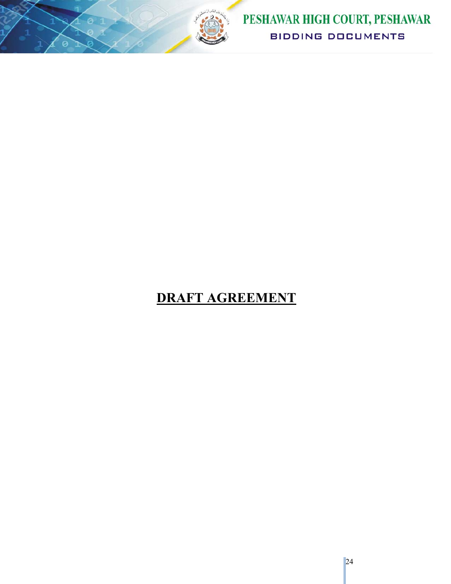

# **DRAFT AGREEMENT**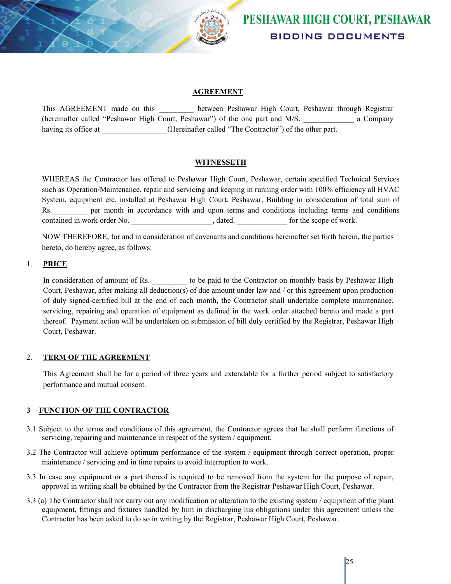

#### **AGREEMENT**

This AGREEMENT made on this \_\_\_\_\_\_\_\_\_\_ between Peshawar High Court, Peshawar through Registrar (hereinafter called "Peshawar High Court, Peshawar") of the one part and M/S. \_\_\_\_\_\_\_\_\_\_\_\_\_ a Company having its office at  $(Hereinafter called "The Contract"') of the other part.$ 

#### **WITNESSETH**

WHEREAS the Contractor has offered to Peshawar High Court, Peshawar, certain specified Technical Services such as Operation/Maintenance, repair and servicing and keeping in running order with 100% efficiency all HVAC System, equipment etc. installed at Peshawar High Court, Peshawar, Building in consideration of total sum of Rs. The per month in accordance with and upon terms and conditions including terms and conditions contained in work order No.  $\qquad \qquad$ , dated.  $\qquad \qquad$  for the scope of work.

NOW THEREFORE, for and in consideration of covenants and conditions hereinafter set forth herein, the parties hereto, do hereby agree, as follows:

#### 1. **PRICE**

In consideration of amount of Rs.  $\qquad \qquad$  to be paid to the Contractor on monthly basis by Peshawar High Court, Peshawar, after making all deduction(s) of due amount under law and / or this agreement upon production of duly signed-certified bill at the end of each month, the Contractor shall undertake complete maintenance, servicing, repairing and operation of equipment as defined in the work order attached hereto and made a part thereof. Payment action will be undertaken on submission of bill duly certified by the Registrar, Peshawar High Court, Peshawar.

#### 2. **TERM OF THE AGREEMENT**

This Agreement shall be for a period of three years and extendable for a further period subject to satisfactory performance and mutual consent.

#### **3 FUNCTION OF THE CONTRACTOR**

- 3.1 Subject to the terms and conditions of this agreement, the Contractor agrees that he shall perform functions of servicing, repairing and maintenance in respect of the system / equipment.
- 3.2 The Contractor will achieve optimum performance of the system / equipment through correct operation, proper maintenance / servicing and in time repairs to avoid interruption to work.
- 3.3 In case any equipment or a part thereof is required to be removed from the system for the purpose of repair, approval in writing shall be obtained by the Contractor from the Registrar Peshawar High Court, Peshawar.
- 3.3 (a) The Contractor shall not carry out any modification or alteration to the existing system / equipment of the plant equipment, fittings and fixtures handled by him in discharging his obligations under this agreement unless the Contractor has been asked to do so in writing by the Registrar, Peshawar High Court, Peshawar.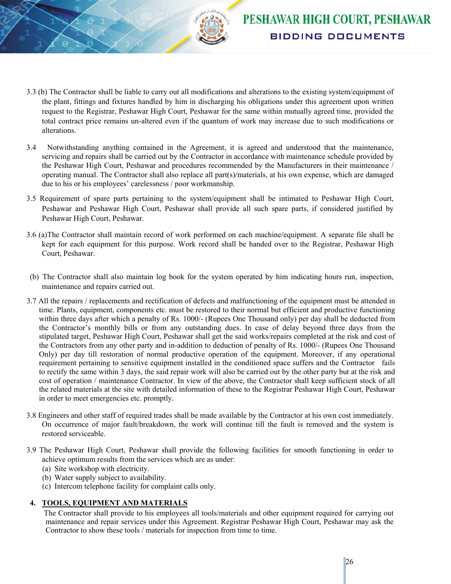

- 3.3 (b) The Contractor shall be liable to carry out all modifications and alterations to the existing system/equipment of the plant, fittings and fixtures handled by him in discharging his obligations under this agreement upon written request to the Registrar, Peshawar High Court, Peshawar for the same within mutually agreed time, provided the total contract price remains un-altered even if the quantum of work may increase due to such modifications or alterations.
- 3.4 Notwithstanding anything contained in the Agreement, it is agreed and understood that the maintenance, servicing and repairs shall be carried out by the Contractor in accordance with maintenance schedule provided by the Peshawar High Court, Peshawar and procedures recommended by the Manufacturers in their maintenance / operating manual. The Contractor shall also replace all part(s)/materials, at his own expense, which are damaged due to his or his employees' carelessness / poor workmanship.
- 3.5 Requirement of spare parts pertaining to the system/equipment shall be intimated to Peshawar High Court, Peshawar and Peshawar High Court, Peshawar shall provide all such spare parts, if considered justified by Peshawar High Court, Peshawar.
- 3.6 (a)The Contractor shall maintain record of work performed on each machine/equipment. A separate file shall be kept for each equipment for this purpose. Work record shall be handed over to the Registrar, Peshawar High Court, Peshawar.
- (b) The Contractor shall also maintain log book for the system operated by him indicating hours run, inspection, maintenance and repairs carried out.
- 3.7 All the repairs / replacements and rectification of defects and malfunctioning of the equipment must be attended in time. Plants, equipment, components etc. must be restored to their normal but efficient and productive functioning within three days after which a penalty of Rs. 1000/- (Rupees One Thousand only) per day shall be deducted from the Contractor's monthly bills or from any outstanding dues. In case of delay beyond three days from the stipulated target, Peshawar High Court, Peshawar shall get the said works/repairs completed at the risk and cost of the Contractors from any other party and in-addition to deduction of penalty of Rs. 1000/- (Rupees One Thousand Only) per day till restoration of normal productive operation of the equipment. Moreover, if any operational requirement pertaining to sensitive equipment installed in the conditioned space suffers and the Contractor fails to rectify the same within 3 days, the said repair work will also be carried out by the other party but at the risk and cost of operation / maintenance Contractor. In view of the above, the Contractor shall keep sufficient stock of all the related materials at the site with detailed information of these to the Registrar Peshawar High Court, Peshawar in order to meet emergencies etc. promptly.
- 3.8 Engineers and other staff of required trades shall be made available by the Contractor at his own cost immediately. On occurrence of major fault/breakdown, the work will continue till the fault is removed and the system is restored serviceable.
- 3.9 The Peshawar High Court, Peshawar shall provide the following facilities for smooth functioning in order to achieve optimum results from the services which are as under:
	- (a) Site workshop with electricity.
	- (b) Water supply subject to availability.
	- (c) Intercom telephone facility for complaint calls only.

#### **4. TOOLS, EQUIPMENT AND MATERIALS**

The Contractor shall provide to his employees all tools/materials and other equipment required for carrying out maintenance and repair services under this Agreement. Registrar Peshawar High Court, Peshawar may ask the Contractor to show these tools / materials for inspection from time to time.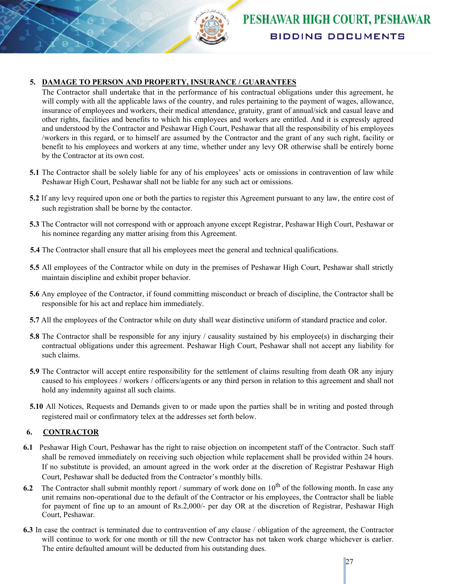

#### **5. DAMAGE TO PERSON AND PROPERTY, INSURANCE / GUARANTEES**

The Contractor shall undertake that in the performance of his contractual obligations under this agreement, he will comply with all the applicable laws of the country, and rules pertaining to the payment of wages, allowance, insurance of employees and workers, their medical attendance, gratuity, grant of annual/sick and casual leave and other rights, facilities and benefits to which his employees and workers are entitled. And it is expressly agreed and understood by the Contractor and Peshawar High Court, Peshawar that all the responsibility of his employees /workers in this regard, or to himself are assumed by the Contractor and the grant of any such right, facility or benefit to his employees and workers at any time, whether under any levy OR otherwise shall be entirely borne by the Contractor at its own cost.

- **5.1** The Contractor shall be solely liable for any of his employees' acts or omissions in contravention of law while Peshawar High Court, Peshawar shall not be liable for any such act or omissions.
- **5.2** If any levy required upon one or both the parties to register this Agreement pursuant to any law, the entire cost of such registration shall be borne by the contactor.
- **5.3** The Contractor will not correspond with or approach anyone except Registrar, Peshawar High Court, Peshawar or his nominee regarding any matter arising from this Agreement.
- **5.4** The Contractor shall ensure that all his employees meet the general and technical qualifications.
- **5.5** All employees of the Contractor while on duty in the premises of Peshawar High Court, Peshawar shall strictly maintain discipline and exhibit proper behavior.
- **5.6** Any employee of the Contractor, if found committing misconduct or breach of discipline, the Contractor shall be responsible for his act and replace him immediately.
- **5.7** All the employees of the Contractor while on duty shall wear distinctive uniform of standard practice and color.
- **5.8** The Contractor shall be responsible for any injury / causality sustained by his employee(s) in discharging their contractual obligations under this agreement. Peshawar High Court, Peshawar shall not accept any liability for such claims.
- **5.9** The Contractor will accept entire responsibility for the settlement of claims resulting from death OR any injury caused to his employees / workers / officers/agents or any third person in relation to this agreement and shall not hold any indemnity against all such claims.
- **5.10** All Notices, Requests and Demands given to or made upon the parties shall be in writing and posted through registered mail or confirmatory telex at the addresses set forth below.

#### **6. CONTRACTOR**

- **6.1** Peshawar High Court, Peshawar has the right to raise objection on incompetent staff of the Contractor. Such staff shall be removed immediately on receiving such objection while replacement shall be provided within 24 hours. If no substitute is provided, an amount agreed in the work order at the discretion of Registrar Peshawar High Court, Peshawar shall be deducted from the Contractor's monthly bills.
- **6.2** The Contractor shall submit monthly report / summary of work done on  $10^{th}$  of the following month. In case any unit remains non-operational due to the default of the Contractor or his employees, the Contractor shall be liable for payment of fine up to an amount of Rs.2,000/- per day OR at the discretion of Registrar, Peshawar High Court, Peshawar.
- **6.3** In case the contract is terminated due to contravention of any clause / obligation of the agreement, the Contractor will continue to work for one month or till the new Contractor has not taken work charge whichever is earlier. The entire defaulted amount will be deducted from his outstanding dues.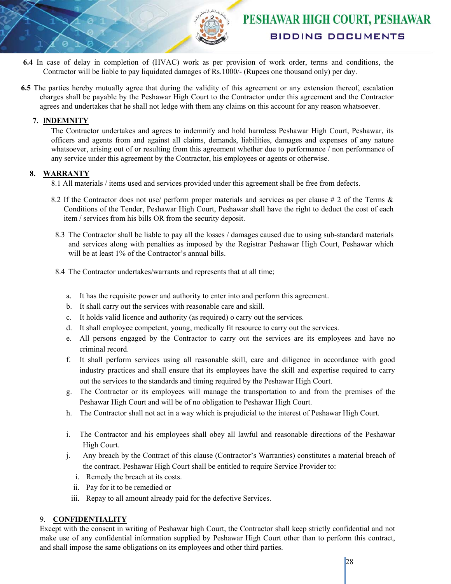

- **6.4** In case of delay in completion of (HVAC) work as per provision of work order, terms and conditions, the Contractor will be liable to pay liquidated damages of Rs.1000/- (Rupees one thousand only) per day.
- **6.5** The parties hereby mutually agree that during the validity of this agreement or any extension thereof, escalation charges shall be payable by the Peshawar High Court to the Contractor under this agreement and the Contractor agrees and undertakes that he shall not ledge with them any claims on this account for any reason whatsoever.

#### **7.** I**NDEMNITY**

The Contractor undertakes and agrees to indemnify and hold harmless Peshawar High Court, Peshawar, its officers and agents from and against all claims, demands, liabilities, damages and expenses of any nature whatsoever, arising out of or resulting from this agreement whether due to performance / non performance of any service under this agreement by the Contractor, his employees or agents or otherwise.

#### **8. WARRANTY**

8.1 All materials / items used and services provided under this agreement shall be free from defects.

- 8.2 If the Contractor does not use/ perform proper materials and services as per clause # 2 of the Terms & Conditions of the Tender, Peshawar High Court, Peshawar shall have the right to deduct the cost of each item / services from his bills OR from the security deposit.
- 8.3 The Contractor shall be liable to pay all the losses / damages caused due to using sub-standard materials and services along with penalties as imposed by the Registrar Peshawar High Court, Peshawar which will be at least 1% of the Contractor's annual bills.
- 8.4 The Contractor undertakes/warrants and represents that at all time;
	- a. It has the requisite power and authority to enter into and perform this agreement.
	- b. It shall carry out the services with reasonable care and skill.
	- c. It holds valid licence and authority (as required) o carry out the services.
	- d. It shall employee competent, young, medically fit resource to carry out the services.
	- e. All persons engaged by the Contractor to carry out the services are its employees and have no criminal record.
	- f. It shall perform services using all reasonable skill, care and diligence in accordance with good industry practices and shall ensure that its employees have the skill and expertise required to carry out the services to the standards and timing required by the Peshawar High Court.
	- g. The Contractor or its employees will manage the transportation to and from the premises of the Peshawar High Court and will be of no obligation to Peshawar High Court.
	- h. The Contractor shall not act in a way which is prejudicial to the interest of Peshawar High Court.
	- i. The Contractor and his employees shall obey all lawful and reasonable directions of the Peshawar High Court.
	- j. Any breach by the Contract of this clause (Contractor's Warranties) constitutes a material breach of the contract. Peshawar High Court shall be entitled to require Service Provider to:
		- i. Remedy the breach at its costs.
		- ii. Pay for it to be remedied or
		- iii. Repay to all amount already paid for the defective Services.

#### 9. **CONFIDENTIALITY**

Except with the consent in writing of Peshawar high Court, the Contractor shall keep strictly confidential and not make use of any confidential information supplied by Peshawar High Court other than to perform this contract, and shall impose the same obligations on its employees and other third parties.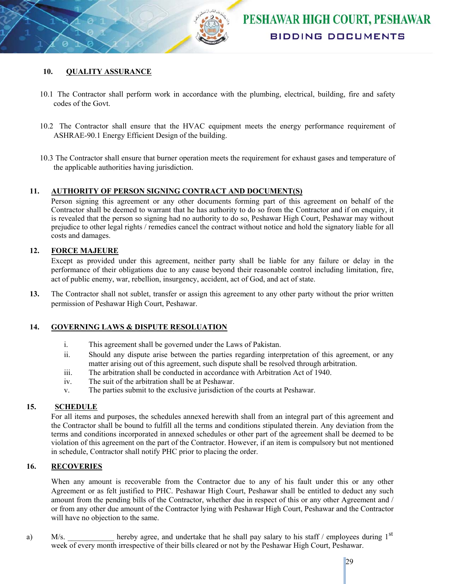

#### **10. QUALITY ASSURANCE**

- 10.1 The Contractor shall perform work in accordance with the plumbing, electrical, building, fire and safety codes of the Govt.
- 10.2 The Contractor shall ensure that the HVAC equipment meets the energy performance requirement of ASHRAE-90.1 Energy Efficient Design of the building.
- 10.3 The Contractor shall ensure that burner operation meets the requirement for exhaust gases and temperature of the applicable authorities having jurisdiction.

#### **11. AUTHORITY OF PERSON SIGNING CONTRACT AND DOCUMENT(S)**

Person signing this agreement or any other documents forming part of this agreement on behalf of the Contractor shall be deemed to warrant that he has authority to do so from the Contractor and if on enquiry, it is revealed that the person so signing had no authority to do so, Peshawar High Court, Peshawar may without prejudice to other legal rights / remedies cancel the contract without notice and hold the signatory liable for all costs and damages.

#### **12. FORCE MAJEURE**

Except as provided under this agreement, neither party shall be liable for any failure or delay in the performance of their obligations due to any cause beyond their reasonable control including limitation, fire, act of public enemy, war, rebellion, insurgency, accident, act of God, and act of state.

**13.** The Contractor shall not sublet, transfer or assign this agreement to any other party without the prior written permission of Peshawar High Court, Peshawar.

#### **14. GOVERNING LAWS & DISPUTE RESOLUATION**

- i. This agreement shall be governed under the Laws of Pakistan.
- ii. Should any dispute arise between the parties regarding interpretation of this agreement, or any matter arising out of this agreement, such dispute shall be resolved through arbitration.
- iii. The arbitration shall be conducted in accordance with Arbitration Act of 1940.
- iv. The suit of the arbitration shall be at Peshawar.
- v. The parties submit to the exclusive jurisdiction of the courts at Peshawar.

#### **15. SCHEDULE**

For all items and purposes, the schedules annexed herewith shall from an integral part of this agreement and the Contractor shall be bound to fulfill all the terms and conditions stipulated therein. Any deviation from the terms and conditions incorporated in annexed schedules or other part of the agreement shall be deemed to be violation of this agreement on the part of the Contractor. However, if an item is compulsory but not mentioned in schedule, Contractor shall notify PHC prior to placing the order.

#### **16. RECOVERIES**

When any amount is recoverable from the Contractor due to any of his fault under this or any other Agreement or as felt justified to PHC. Peshawar High Court, Peshawar shall be entitled to deduct any such amount from the pending bills of the Contractor, whether due in respect of this or any other Agreement and / or from any other due amount of the Contractor lying with Peshawar High Court, Peshawar and the Contractor will have no objection to the same.

a) M/s. hereby agree, and undertake that he shall pay salary to his staff / employees during  $1<sup>st</sup>$ week of every month irrespective of their bills cleared or not by the Peshawar High Court, Peshawar.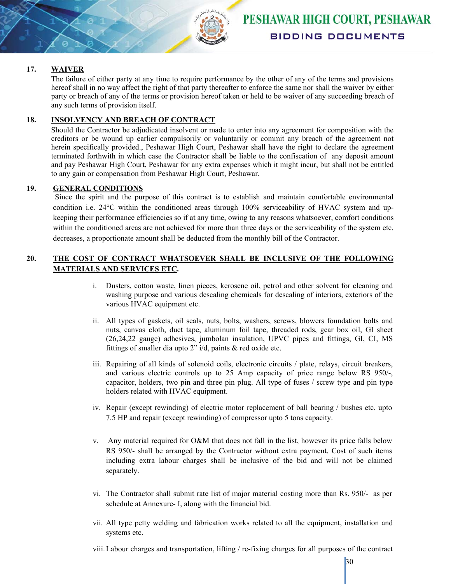

#### **17. WAIVER**

The failure of either party at any time to require performance by the other of any of the terms and provisions hereof shall in no way affect the right of that party thereafter to enforce the same nor shall the waiver by either party or breach of any of the terms or provision hereof taken or held to be waiver of any succeeding breach of any such terms of provision itself.

#### **18. INSOLVENCY AND BREACH OF CONTRACT**

Should the Contractor be adjudicated insolvent or made to enter into any agreement for composition with the creditors or be wound up earlier compulsorily or voluntarily or commit any breach of the agreement not herein specifically provided., Peshawar High Court, Peshawar shall have the right to declare the agreement terminated forthwith in which case the Contractor shall be liable to the confiscation of any deposit amount and pay Peshawar High Court, Peshawar for any extra expenses which it might incur, but shall not be entitled to any gain or compensation from Peshawar High Court, Peshawar.

#### **19. GENERAL CONDITIONS**

 Since the spirit and the purpose of this contract is to establish and maintain comfortable environmental condition i.e. 24°C within the conditioned areas through 100% serviceability of HVAC system and upkeeping their performance efficiencies so if at any time, owing to any reasons whatsoever, comfort conditions within the conditioned areas are not achieved for more than three days or the serviceability of the system etc. decreases, a proportionate amount shall be deducted from the monthly bill of the Contractor.

#### **20. THE COST OF CONTRACT WHATSOEVER SHALL BE INCLUSIVE OF THE FOLLOWING MATERIALS AND SERVICES ETC.**

- i. Dusters, cotton waste, linen pieces, kerosene oil, petrol and other solvent for cleaning and washing purpose and various descaling chemicals for descaling of interiors, exteriors of the various HVAC equipment etc.
- ii. All types of gaskets, oil seals, nuts, bolts, washers, screws, blowers foundation bolts and nuts, canvas cloth, duct tape, aluminum foil tape, threaded rods, gear box oil, GI sheet (26,24,22 gauge) adhesives, jumbolan insulation, UPVC pipes and fittings, GI, CI, MS fittings of smaller dia upto  $2$ " i/d, paints  $\&$  red oxide etc.
- iii. Repairing of all kinds of solenoid coils, electronic circuits / plate, relays, circuit breakers, and various electric controls up to 25 Amp capacity of price range below RS 950/-, capacitor, holders, two pin and three pin plug. All type of fuses / screw type and pin type holders related with HVAC equipment.
- iv. Repair (except rewinding) of electric motor replacement of ball bearing / bushes etc. upto 7.5 HP and repair (except rewinding) of compressor upto 5 tons capacity.
- v. Any material required for O&M that does not fall in the list, however its price falls below RS 950/- shall be arranged by the Contractor without extra payment. Cost of such items including extra labour charges shall be inclusive of the bid and will not be claimed separately.
- vi. The Contractor shall submit rate list of major material costing more than Rs. 950/- as per schedule at Annexure- I, along with the financial bid.
- vii. All type petty welding and fabrication works related to all the equipment, installation and systems etc.
- viii.Labour charges and transportation, lifting / re-fixing charges for all purposes of the contract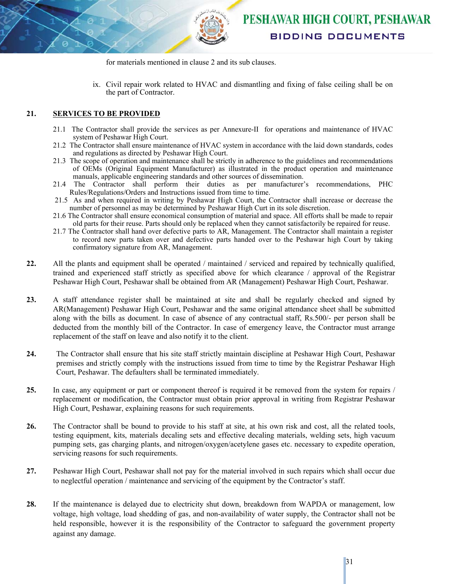

for materials mentioned in clause 2 and its sub clauses.

ix. Civil repair work related to HVAC and dismantling and fixing of false ceiling shall be on the part of Contractor.

#### **21. SERVICES TO BE PROVIDED**

- 21.1 The Contractor shall provide the services as per Annexure-II for operations and maintenance of HVAC system of Peshawar High Court.
- 21.2 The Contractor shall ensure maintenance of HVAC system in accordance with the laid down standards, codes and regulations as directed by Peshawar High Court.
- 21.3 The scope of operation and maintenance shall be strictly in adherence to the guidelines and recommendations of OEMs (Original Equipment Manufacturer) as illustrated in the product operation and maintenance manuals, applicable engineering standards and other sources of dissemination.
- 21.4 The Contractor shall perform their duties as per manufacturer's recommendations, PHC Rules/Regulations/Orders and Instructions issued from time to time.
- 21.5 As and when required in writing by Peshawar High Court, the Contractor shall increase or decrease the number of personnel as may be determined by Peshawar High Curt in its sole discretion.
- 21.6 The Contractor shall ensure economical consumption of material and space. All efforts shall be made to repair old parts for their reuse. Parts should only be replaced when they cannot satisfactorily be repaired for reuse.
- 21.7 The Contractor shall hand over defective parts to AR, Management. The Contractor shall maintain a register to record new parts taken over and defective parts handed over to the Peshawar high Court by taking confirmatory signature from AR, Management.
- **22.** All the plants and equipment shall be operated / maintained / serviced and repaired by technically qualified, trained and experienced staff strictly as specified above for which clearance / approval of the Registrar Peshawar High Court, Peshawar shall be obtained from AR (Management) Peshawar High Court, Peshawar.
- **23.** A staff attendance register shall be maintained at site and shall be regularly checked and signed by AR(Management) Peshawar High Court, Peshawar and the same original attendance sheet shall be submitted along with the bills as document. In case of absence of any contractual staff, Rs.500/- per person shall be deducted from the monthly bill of the Contractor. In case of emergency leave, the Contractor must arrange replacement of the staff on leave and also notify it to the client.
- **24.** The Contractor shall ensure that his site staff strictly maintain discipline at Peshawar High Court, Peshawar premises and strictly comply with the instructions issued from time to time by the Registrar Peshawar High Court, Peshawar. The defaulters shall be terminated immediately.
- **25.** In case, any equipment or part or component thereof is required it be removed from the system for repairs / replacement or modification, the Contractor must obtain prior approval in writing from Registrar Peshawar High Court, Peshawar, explaining reasons for such requirements.
- **26.** The Contractor shall be bound to provide to his staff at site, at his own risk and cost, all the related tools, testing equipment, kits, materials decaling sets and effective decaling materials, welding sets, high vacuum pumping sets, gas charging plants, and nitrogen/oxygen/acetylene gases etc. necessary to expedite operation, servicing reasons for such requirements.
- **27.** Peshawar High Court, Peshawar shall not pay for the material involved in such repairs which shall occur due to neglectful operation / maintenance and servicing of the equipment by the Contractor's staff.
- 28. If the maintenance is delayed due to electricity shut down, breakdown from WAPDA or management, low voltage, high voltage, load shedding of gas, and non-availability of water supply, the Contractor shall not be held responsible, however it is the responsibility of the Contractor to safeguard the government property against any damage.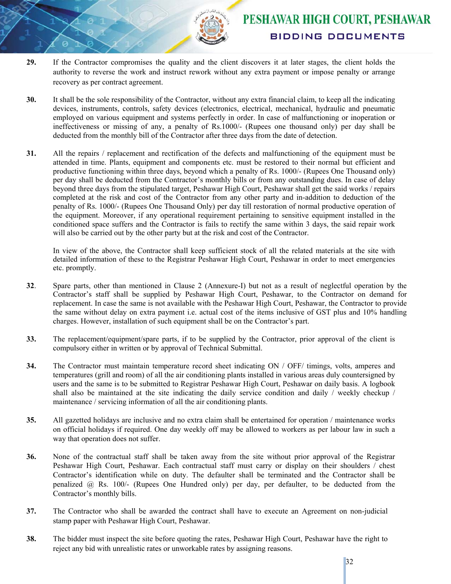

- **29.** If the Contractor compromises the quality and the client discovers it at later stages, the client holds the authority to reverse the work and instruct rework without any extra payment or impose penalty or arrange recovery as per contract agreement.
- **30.** It shall be the sole responsibility of the Contractor, without any extra financial claim, to keep all the indicating devices, instruments, controls, safety devices (electronics, electrical, mechanical, hydraulic and pneumatic employed on various equipment and systems perfectly in order. In case of malfunctioning or inoperation or ineffectiveness or missing of any, a penalty of Rs.1000/- (Rupees one thousand only) per day shall be deducted from the monthly bill of the Contractor after three days from the date of detection.
- **31.** All the repairs / replacement and rectification of the defects and malfunctioning of the equipment must be attended in time. Plants, equipment and components etc. must be restored to their normal but efficient and productive functioning within three days, beyond which a penalty of Rs. 1000/- (Rupees One Thousand only) per day shall be deducted from the Contractor's monthly bills or from any outstanding dues. In case of delay beyond three days from the stipulated target, Peshawar High Court, Peshawar shall get the said works / repairs completed at the risk and cost of the Contractor from any other party and in-addition to deduction of the penalty of Rs. 1000/- (Rupees One Thousand Only) per day till restoration of normal productive operation of the equipment. Moreover, if any operational requirement pertaining to sensitive equipment installed in the conditioned space suffers and the Contractor is fails to rectify the same within 3 days, the said repair work will also be carried out by the other party but at the risk and cost of the Contractor.

In view of the above, the Contractor shall keep sufficient stock of all the related materials at the site with detailed information of these to the Registrar Peshawar High Court, Peshawar in order to meet emergencies etc. promptly.

- **32**. Spare parts, other than mentioned in Clause 2 (Annexure-I) but not as a result of neglectful operation by the Contractor's staff shall be supplied by Peshawar High Court, Peshawar, to the Contractor on demand for replacement. In case the same is not available with the Peshawar High Court, Peshawar, the Contractor to provide the same without delay on extra payment i.e. actual cost of the items inclusive of GST plus and 10% handling charges. However, installation of such equipment shall be on the Contractor's part.
- **33.** The replacement/equipment/spare parts, if to be supplied by the Contractor, prior approval of the client is compulsory either in written or by approval of Technical Submittal.
- **34.** The Contractor must maintain temperature record sheet indicating ON / OFF/ timings, volts, amperes and temperatures (grill and room) of all the air conditioning plants installed in various areas duly countersigned by users and the same is to be submitted to Registrar Peshawar High Court, Peshawar on daily basis. A logbook shall also be maintained at the site indicating the daily service condition and daily / weekly checkup / maintenance / servicing information of all the air conditioning plants.
- **35.** All gazetted holidays are inclusive and no extra claim shall be entertained for operation / maintenance works on official holidays if required. One day weekly off may be allowed to workers as per labour law in such a way that operation does not suffer.
- **36.** None of the contractual staff shall be taken away from the site without prior approval of the Registrar Peshawar High Court, Peshawar. Each contractual staff must carry or display on their shoulders / chest Contractor's identification while on duty. The defaulter shall be terminated and the Contractor shall be penalized  $\omega$  Rs. 100/- (Rupees One Hundred only) per day, per defaulter, to be deducted from the Contractor's monthly bills.
- **37.** The Contractor who shall be awarded the contract shall have to execute an Agreement on non-judicial stamp paper with Peshawar High Court, Peshawar.
- **38.** The bidder must inspect the site before quoting the rates, Peshawar High Court, Peshawar have the right to reject any bid with unrealistic rates or unworkable rates by assigning reasons.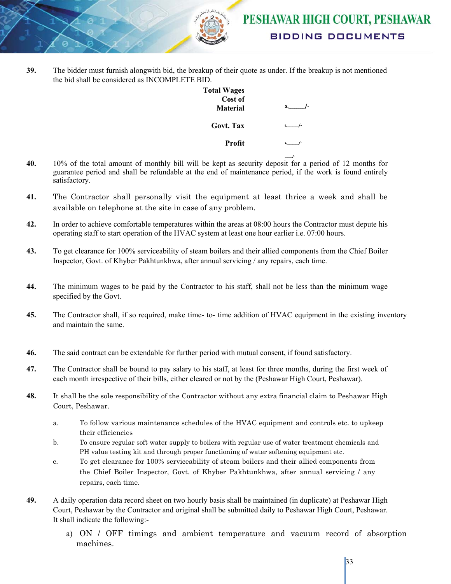

**39.** The bidder must furnish alongwith bid, the breakup of their quote as under. If the breakup is not mentioned the bid shall be considered as INCOMPLETE BID.

| <b>Total Wages</b><br>Cost of |    |
|-------------------------------|----|
| <b>Material</b>               | s. |
| Govt. Tax                     |    |
| Profit                        |    |
|                               |    |

- **40.** 10% of the total amount of monthly bill will be kept as security deposit for a period of 12 months for guarantee period and shall be refundable at the end of maintenance period, if the work is found entirely satisfactory.
- **41.** The Contractor shall personally visit the equipment at least thrice a week and shall be available on telephone at the site in case of any problem.
- **42.** In order to achieve comfortable temperatures within the areas at 08:00 hours the Contractor must depute his operating staff to start operation of the HVAC system at least one hour earlier i.e. 07:00 hours.
- **43.** To get clearance for 100% serviceability of steam boilers and their allied components from the Chief Boiler Inspector, Govt. of Khyber Pakhtunkhwa, after annual servicing / any repairs, each time.
- **44.** The minimum wages to be paid by the Contractor to his staff, shall not be less than the minimum wage specified by the Govt.
- **45.** The Contractor shall, if so required, make time- to- time addition of HVAC equipment in the existing inventory and maintain the same.
- **46.** The said contract can be extendable for further period with mutual consent, if found satisfactory.
- **47.** The Contractor shall be bound to pay salary to his staff, at least for three months, during the first week of each month irrespective of their bills, either cleared or not by the (Peshawar High Court, Peshawar).
- **48.** It shall be the sole responsibility of the Contractor without any extra financial claim to Peshawar High Court, Peshawar.
	- a. To follow various maintenance schedules of the HVAC equipment and controls etc. to upkeep their efficiencies
	- b. To ensure regular soft water supply to boilers with regular use of water treatment chemicals and PH value testing kit and through proper functioning of water softening equipment etc.
	- c. To get clearance for 100% serviceability of steam boilers and their allied components from the Chief Boiler Inspector, Govt. of Khyber Pakhtunkhwa, after annual servicing / any repairs, each time.
- **49.** A daily operation data record sheet on two hourly basis shall be maintained (in duplicate) at Peshawar High Court, Peshawar by the Contractor and original shall be submitted daily to Peshawar High Court, Peshawar. It shall indicate the following:
	- a) ON / OFF timings and ambient temperature and vacuum record of absorption machines.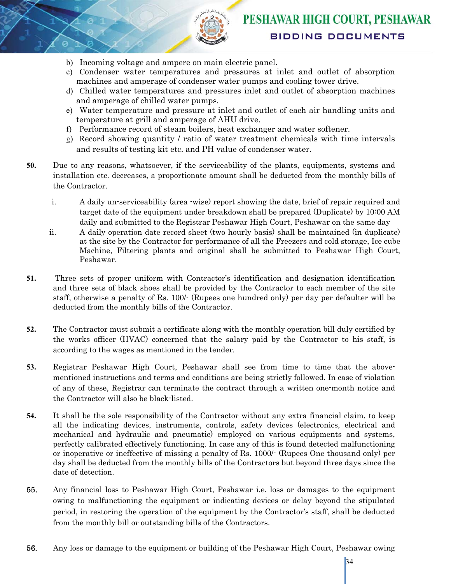

- b) Incoming voltage and ampere on main electric panel.
- c) Condenser water temperatures and pressures at inlet and outlet of absorption machines and amperage of condenser water pumps and cooling tower drive.
- d) Chilled water temperatures and pressures inlet and outlet of absorption machines and amperage of chilled water pumps.
- e) Water temperature and pressure at inlet and outlet of each air handling units and temperature at grill and amperage of AHU drive.
- f) Performance record of steam boilers, heat exchanger and water softener.
- g) Record showing quantity / ratio of water treatment chemicals with time intervals and results of testing kit etc. and PH value of condenser water.
- **50.** Due to any reasons, whatsoever, if the serviceability of the plants, equipments, systems and installation etc. decreases, a proportionate amount shall be deducted from the monthly bills of the Contractor.
	- i. A daily un-serviceability (area -wise) report showing the date, brief of repair required and target date of the equipment under breakdown shall be prepared (Duplicate) by 10:00 AM daily and submitted to the Registrar Peshawar High Court, Peshawar on the same day
	- ii. A daily operation date record sheet (two hourly basis) shall be maintained (in duplicate) at the site by the Contractor for performance of all the Freezers and cold storage, Ice cube Machine, Filtering plants and original shall be submitted to Peshawar High Court, Peshawar.
- **51.** Three sets of proper uniform with Contractor's identification and designation identification and three sets of black shoes shall be provided by the Contractor to each member of the site staff, otherwise a penalty of Rs. 100/- (Rupees one hundred only) per day per defaulter will be deducted from the monthly bills of the Contractor.
- **52.** The Contractor must submit a certificate along with the monthly operation bill duly certified by the works officer (HVAC) concerned that the salary paid by the Contractor to his staff, is according to the wages as mentioned in the tender.
- **53.** Registrar Peshawar High Court, Peshawar shall see from time to time that the abovementioned instructions and terms and conditions are being strictly followed. In case of violation of any of these, Registrar can terminate the contract through a written one-month notice and the Contractor will also be black-listed.
- **54.** It shall be the sole responsibility of the Contractor without any extra financial claim, to keep all the indicating devices, instruments, controls, safety devices (electronics, electrical and mechanical and hydraulic and pneumatic) employed on various equipments and systems, perfectly calibrated effectively functioning. In case any of this is found detected malfunctioning or inoperative or ineffective of missing a penalty of Rs. 1000/- (Rupees One thousand only) per day shall be deducted from the monthly bills of the Contractors but beyond three days since the date of detection.
- 55. Any financial loss to Peshawar High Court, Peshawar i.e. loss or damages to the equipment owing to malfunctioning the equipment or indicating devices or delay beyond the stipulated period, in restoring the operation of the equipment by the Contractor's staff, shall be deducted from the monthly bill or outstanding bills of the Contractors.
- 56. Any loss or damage to the equipment or building of the Peshawar High Court, Peshawar owing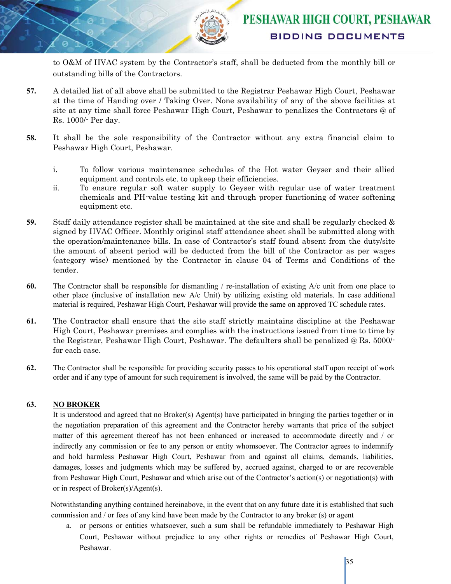to O&M of HVAC system by the Contractor's staff, shall be deducted from the monthly bill or outstanding bills of the Contractors.

- **57.** A detailed list of all above shall be submitted to the Registrar Peshawar High Court, Peshawar at the time of Handing over / Taking Over. None availability of any of the above facilities at site at any time shall force Peshawar High Court, Peshawar to penalizes the Contractors @ of Rs. 1000/- Per day.
- **58.** It shall be the sole responsibility of the Contractor without any extra financial claim to Peshawar High Court, Peshawar.
	- i. To follow various maintenance schedules of the Hot water Geyser and their allied equipment and controls etc. to upkeep their efficiencies.
	- ii. To ensure regular soft water supply to Geyser with regular use of water treatment chemicals and PH-value testing kit and through proper functioning of water softening equipment etc.
- **59.** Staff daily attendance register shall be maintained at the site and shall be regularly checked & signed by HVAC Officer. Monthly original staff attendance sheet shall be submitted along with the operation/maintenance bills. In case of Contractor's staff found absent from the duty/site the amount of absent period will be deducted from the bill of the Contractor as per wages (category wise) mentioned by the Contractor in clause 04 of Terms and Conditions of the tender.
- **60.** The Contractor shall be responsible for dismantling / re-installation of existing A/c unit from one place to other place (inclusive of installation new A/c Unit) by utilizing existing old materials. In case additional material is required, Peshawar High Court, Peshawar will provide the same on approved TC schedule rates.
- **61.** The Contractor shall ensure that the site staff strictly maintains discipline at the Peshawar High Court, Peshawar premises and complies with the instructions issued from time to time by the Registrar, Peshawar High Court, Peshawar. The defaulters shall be penalized @ Rs. 5000/ for each case.
- **62.** The Contractor shall be responsible for providing security passes to his operational staff upon receipt of work order and if any type of amount for such requirement is involved, the same will be paid by the Contractor.

#### **63. NO BROKER**

It is understood and agreed that no Broker(s) Agent(s) have participated in bringing the parties together or in the negotiation preparation of this agreement and the Contractor hereby warrants that price of the subject matter of this agreement thereof has not been enhanced or increased to accommodate directly and / or indirectly any commission or fee to any person or entity whomsoever. The Contractor agrees to indemnify and hold harmless Peshawar High Court, Peshawar from and against all claims, demands, liabilities, damages, losses and judgments which may be suffered by, accrued against, charged to or are recoverable from Peshawar High Court, Peshawar and which arise out of the Contractor's action(s) or negotiation(s) with or in respect of Broker(s)/Agent(s).

Notwithstanding anything contained hereinabove, in the event that on any future date it is established that such commission and / or fees of any kind have been made by the Contractor to any broker (s) or agent

a. or persons or entities whatsoever, such a sum shall be refundable immediately to Peshawar High Court, Peshawar without prejudice to any other rights or remedies of Peshawar High Court, Peshawar.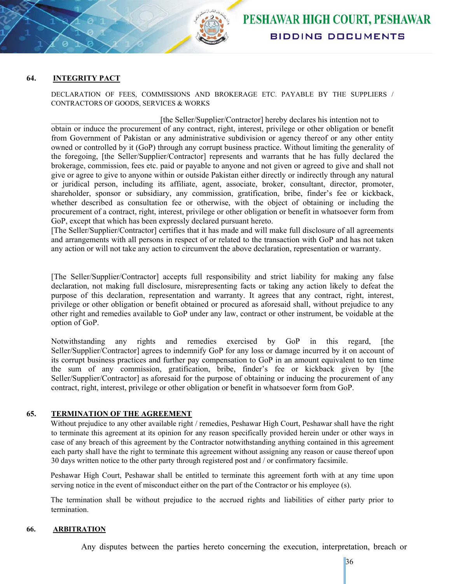

#### **64. INTEGRITY PACT**

DECLARATION OF FEES, COMMISSIONS AND BROKERAGE ETC. PAYABLE BY THE SUPPLIERS / CONTRACTORS OF GOODS, SERVICES & WORKS

[the Seller/Supplier/Contractor] hereby declares his intention not to obtain or induce the procurement of any contract, right, interest, privilege or other obligation or benefit from Government of Pakistan or any administrative subdivision or agency thereof or any other entity owned or controlled by it (GoP) through any corrupt business practice. Without limiting the generality of the foregoing, [the Seller/Supplier/Contractor] represents and warrants that he has fully declared the brokerage, commission, fees etc. paid or payable to anyone and not given or agreed to give and shall not give or agree to give to anyone within or outside Pakistan either directly or indirectly through any natural or juridical person, including its affiliate, agent, associate, broker, consultant, director, promoter, shareholder, sponsor or subsidiary, any commission, gratification, bribe, finder's fee or kickback, whether described as consultation fee or otherwise, with the object of obtaining or including the procurement of a contract, right, interest, privilege or other obligation or benefit in whatsoever form from GoP, except that which has been expressly declared pursuant hereto.

[The Seller/Supplier/Contractor] certifies that it has made and will make full disclosure of all agreements and arrangements with all persons in respect of or related to the transaction with GoP and has not taken any action or will not take any action to circumvent the above declaration, representation or warranty.

[The Seller/Supplier/Contractor] accepts full responsibility and strict liability for making any false declaration, not making full disclosure, misrepresenting facts or taking any action likely to defeat the purpose of this declaration, representation and warranty. It agrees that any contract, right, interest, privilege or other obligation or benefit obtained or procured as aforesaid shall, without prejudice to any other right and remedies available to GoP under any law, contract or other instrument, be voidable at the option of GoP.

Notwithstanding any rights and remedies exercised by GoP in this regard, [the Seller/Supplier/Contractor] agrees to indemnify GoP for any loss or damage incurred by it on account of its corrupt business practices and further pay compensation to GoP in an amount equivalent to ten time the sum of any commission, gratification, bribe, finder's fee or kickback given by [the Seller/Supplier/Contractor] as aforesaid for the purpose of obtaining or inducing the procurement of any contract, right, interest, privilege or other obligation or benefit in whatsoever form from GoP.

#### **65. TERMINATION OF THE AGREEMENT**

Without prejudice to any other available right / remedies, Peshawar High Court, Peshawar shall have the right to terminate this agreement at its opinion for any reason specifically provided herein under or other ways in case of any breach of this agreement by the Contractor notwithstanding anything contained in this agreement each party shall have the right to terminate this agreement without assigning any reason or cause thereof upon 30 days written notice to the other party through registered post and / or confirmatory facsimile.

Peshawar High Court, Peshawar shall be entitled to terminate this agreement forth with at any time upon serving notice in the event of misconduct either on the part of the Contractor or his employee (s).

The termination shall be without prejudice to the accrued rights and liabilities of either party prior to termination.

#### **66. ARBITRATION**

Any disputes between the parties hereto concerning the execution, interpretation, breach or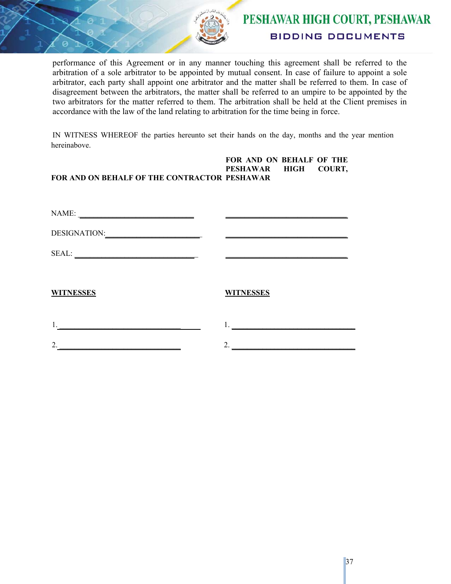

performance of this Agreement or in any manner touching this agreement shall be referred to the arbitration of a sole arbitrator to be appointed by mutual consent. In case of failure to appoint a sole arbitrator, each party shall appoint one arbitrator and the matter shall be referred to them. In case of disagreement between the arbitrators, the matter shall be referred to an umpire to be appointed by the two arbitrators for the matter referred to them. The arbitration shall be held at the Client premises in accordance with the law of the land relating to arbitration for the time being in force.

IN WITNESS WHEREOF the parties hereunto set their hands on the day, months and the year mention hereinabove.

#### **FOR AND ON BEHALF OF THE CONTRACTOR PESHAWAR FOR AND ON BEHALF OF THE PESHAWAR HIGH COURT,**

| NAME:               |                  |
|---------------------|------------------|
| <b>DESIGNATION:</b> |                  |
| SEAL:               |                  |
| <b>WITNESSES</b>    | <b>WITNESSES</b> |
| 1.                  | 1.               |
| 2.                  | 2.               |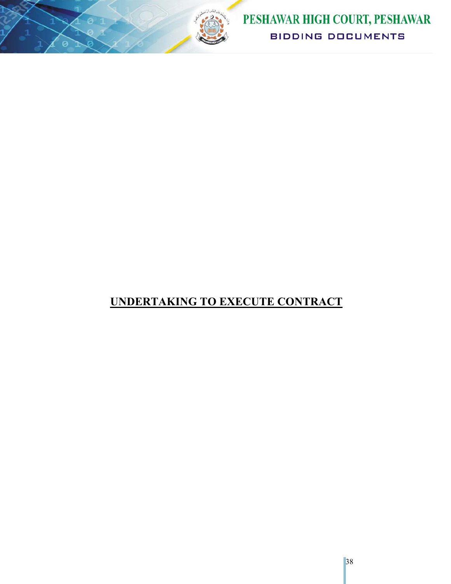

# **UNDERTAKING TO EXECUTE CONTRACT**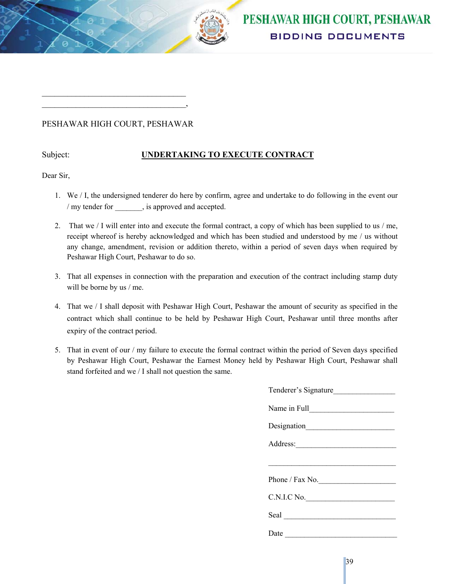

#### PESHAWAR HIGH COURT, PESHAWAR

 $\mathcal{L}_\text{max}$  , where  $\mathcal{L}_\text{max}$  and  $\mathcal{L}_\text{max}$  and  $\mathcal{L}_\text{max}$  $\overline{\phantom{a}}$ 

#### Subject: **UNDERTAKING TO EXECUTE CONTRACT**

Dear Sir,

- 1. We / I, the undersigned tenderer do here by confirm, agree and undertake to do following in the event our / my tender for , is approved and accepted.
- 2. That we / I will enter into and execute the formal contract, a copy of which has been supplied to us / me, receipt whereof is hereby acknowledged and which has been studied and understood by me / us without any change, amendment, revision or addition thereto, within a period of seven days when required by Peshawar High Court, Peshawar to do so.
- 3. That all expenses in connection with the preparation and execution of the contract including stamp duty will be borne by us / me.
- 4. That we / I shall deposit with Peshawar High Court, Peshawar the amount of security as specified in the contract which shall continue to be held by Peshawar High Court, Peshawar until three months after expiry of the contract period.
- 5. That in event of our / my failure to execute the formal contract within the period of Seven days specified by Peshawar High Court, Peshawar the Earnest Money held by Peshawar High Court, Peshawar shall stand forfeited and we / I shall not question the same.

| Tenderer's Signature<br><u> 1970 - Jan Barat, margaret ar an t-</u>                                                           |
|-------------------------------------------------------------------------------------------------------------------------------|
|                                                                                                                               |
|                                                                                                                               |
|                                                                                                                               |
|                                                                                                                               |
| Phone / Fax No. $\qquad \qquad$                                                                                               |
| C.N.I.C No.                                                                                                                   |
|                                                                                                                               |
| Date<br><u> La componenta de la componenta de la componenta de la componenta de la componenta de la componenta de la comp</u> |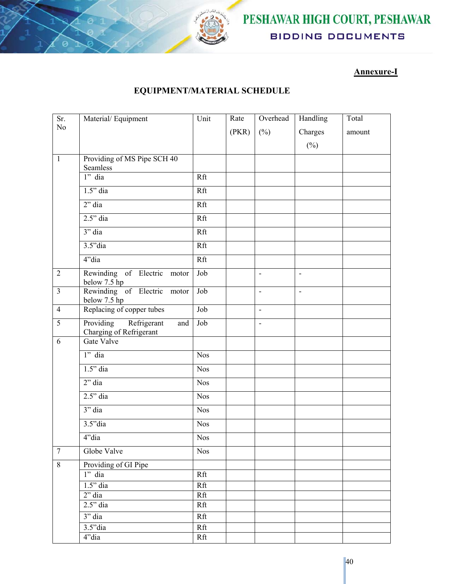

## PESHAWAR HIGH COURT, PESHAWAR **BIDDING DOCUMENTS**

### **Annexure-I**

### **EQUIPMENT/MATERIAL SCHEDULE**

| Sr.            | Material/Equipment                                         | Unit       | Rate  | Overhead                 | Handling                 | Total  |
|----------------|------------------------------------------------------------|------------|-------|--------------------------|--------------------------|--------|
| N <sub>o</sub> |                                                            |            | (PKR) | $(\%)$                   | Charges                  | amount |
|                |                                                            |            |       |                          | $(\%)$                   |        |
| $\mathbf{1}$   | Providing of MS Pipe SCH 40                                |            |       |                          |                          |        |
|                | Seamless                                                   |            |       |                          |                          |        |
|                | $1"$ dia                                                   | Rft        |       |                          |                          |        |
|                | $1.5"$ dia                                                 | Rft        |       |                          |                          |        |
|                | $2"$ dia                                                   | Rft        |       |                          |                          |        |
|                | $2.5$ " dia                                                | Rft        |       |                          |                          |        |
|                | $3"$ dia                                                   | Rft        |       |                          |                          |        |
|                | $3.5"$ dia                                                 | Rft        |       |                          |                          |        |
|                | 4"dia                                                      | Rft        |       |                          |                          |        |
| $\overline{2}$ | Rewinding of Electric motor<br>below 7.5 hp                | Job        |       | $\overline{\phantom{a}}$ | $\overline{\phantom{a}}$ |        |
| $\overline{3}$ | Rewinding of Electric motor<br>below 7.5 hp                | Job        |       | $\overline{\phantom{a}}$ | $\blacksquare$           |        |
| $\overline{4}$ | Replacing of copper tubes                                  | Job        |       | $\blacksquare$           |                          |        |
| $\overline{5}$ | Providing<br>Refrigerant<br>and<br>Charging of Refrigerant | Job        |       | $\overline{\phantom{a}}$ |                          |        |
| 6              | Gate Valve                                                 |            |       |                          |                          |        |
|                | $1"$ dia                                                   | <b>Nos</b> |       |                          |                          |        |
|                | $1.5$ " dia                                                | <b>Nos</b> |       |                          |                          |        |
|                | $2"$ dia                                                   | <b>Nos</b> |       |                          |                          |        |
|                | $2.5$ " dia                                                | <b>Nos</b> |       |                          |                          |        |
|                | $3"$ dia                                                   | <b>Nos</b> |       |                          |                          |        |
|                | $3.5"$ dia                                                 | <b>Nos</b> |       |                          |                          |        |
|                | 4"dia                                                      | <b>Nos</b> |       |                          |                          |        |
| $\overline{7}$ | Globe Valve                                                | <b>Nos</b> |       |                          |                          |        |
| 8              | Providing of GI Pipe                                       |            |       |                          |                          |        |
|                | $1"$ dia                                                   | Rft        |       |                          |                          |        |
|                | $1.5"$ dia                                                 | Rft        |       |                          |                          |        |
|                | $2$ " dia                                                  | Rft        |       |                          |                          |        |
|                | $2.5$ " dia                                                | Rft        |       |                          |                          |        |
|                | 3" dia                                                     | Rft        |       |                          |                          |        |
|                | $3.5"$ dia                                                 | Rft        |       |                          |                          |        |
|                | 4"dia                                                      | Rft        |       |                          |                          |        |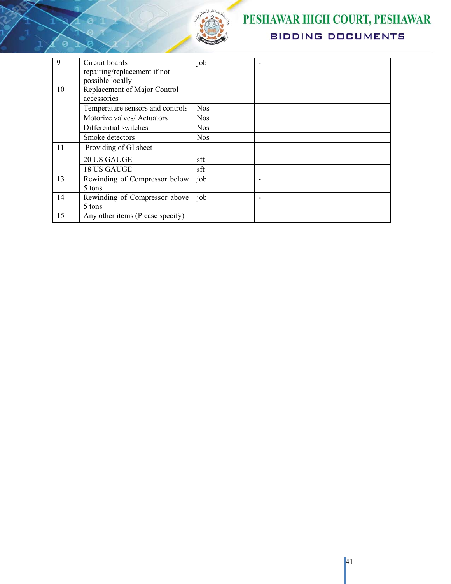

P

# PESHAWAR HIGH COURT, PESHAWAR **BIDDING DOCUMENTS**

| 9  | Circuit boards<br>repairing/replacement if not<br>possible locally | job        |  |  |
|----|--------------------------------------------------------------------|------------|--|--|
| 10 | Replacement of Major Control<br>accessories                        |            |  |  |
|    | Temperature sensors and controls                                   | <b>Nos</b> |  |  |
|    | Motorize valves/ Actuators                                         | <b>Nos</b> |  |  |
|    | Differential switches                                              | <b>Nos</b> |  |  |
|    | Smoke detectors                                                    | <b>Nos</b> |  |  |
| 11 | Providing of GI sheet                                              |            |  |  |
|    | 20 US GAUGE                                                        | sft        |  |  |
|    | 18 US GAUGE                                                        | sft        |  |  |
| 13 | Rewinding of Compressor below<br>5 tons                            | job        |  |  |
| 14 | Rewinding of Compressor above<br>5 tons                            | job        |  |  |
| 15 | Any other items (Please specify)                                   |            |  |  |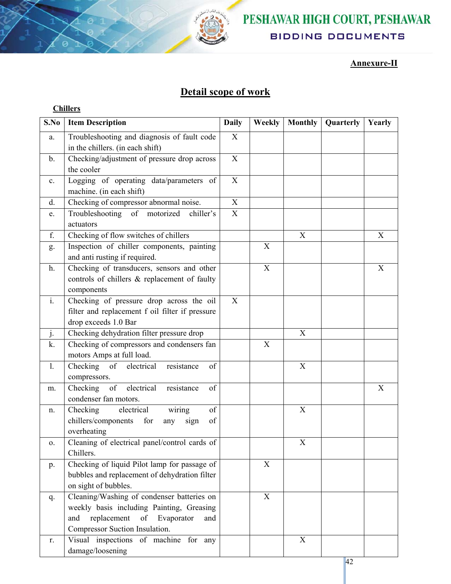

# PESHAWAR HIGH COURT, PESHAWAR **BIDDING DOCUMENTS**

### **Annexure-II**

## **Detail scope of work**

| ш<br>Н<br>и<br>e |
|------------------|
|                  |

| S.No           | <b>Item Description</b>                                                                                                                                                    | <b>Daily</b> | Weekly                    | <b>Monthly</b> | Quarterly | Yearly                    |
|----------------|----------------------------------------------------------------------------------------------------------------------------------------------------------------------------|--------------|---------------------------|----------------|-----------|---------------------------|
| a.             | Troubleshooting and diagnosis of fault code<br>in the chillers. (in each shift)                                                                                            | X            |                           |                |           |                           |
| b.             | Checking/adjustment of pressure drop across<br>the cooler                                                                                                                  | $\mathbf X$  |                           |                |           |                           |
| $\mathbf{c}$ . | Logging of operating data/parameters of<br>machine. (in each shift)                                                                                                        | $\mathbf X$  |                           |                |           |                           |
| d.             | Checking of compressor abnormal noise.                                                                                                                                     | X            |                           |                |           |                           |
| e.             | Troubleshooting of motorized<br>chiller's<br>actuators                                                                                                                     | X            |                           |                |           |                           |
| f.             | Checking of flow switches of chillers                                                                                                                                      |              |                           | X              |           | X                         |
| g.             | Inspection of chiller components, painting<br>and anti rusting if required.                                                                                                |              | $\boldsymbol{\mathrm{X}}$ |                |           |                           |
| h.             | Checking of transducers, sensors and other<br>controls of chillers & replacement of faulty<br>components                                                                   |              | X                         |                |           | $\boldsymbol{\mathrm{X}}$ |
| $\mathbf{i}$ . | Checking of pressure drop across the oil<br>filter and replacement f oil filter if pressure<br>drop exceeds 1.0 Bar                                                        | X            |                           |                |           |                           |
| j.             | Checking dehydration filter pressure drop                                                                                                                                  |              |                           | X              |           |                           |
| k.             | Checking of compressors and condensers fan<br>motors Amps at full load.                                                                                                    |              | X                         |                |           |                           |
| 1.             | Checking of electrical<br>of<br>resistance<br>compressors.                                                                                                                 |              |                           | X              |           |                           |
| m.             | Checking of<br>electrical<br>of<br>resistance<br>condenser fan motors.                                                                                                     |              |                           |                |           | X                         |
| n.             | electrical<br>of<br>Checking<br>wiring<br>chillers/components<br>of<br>for<br>sign<br>any<br>overheating                                                                   |              |                           | X              |           |                           |
| 0.             | Cleaning of electrical panel/control cards of<br>Chillers.                                                                                                                 |              |                           | X              |           |                           |
| p.             | Checking of liquid Pilot lamp for passage of<br>bubbles and replacement of dehydration filter<br>on sight of bubbles.                                                      |              | X                         |                |           |                           |
| q.             | Cleaning/Washing of condenser batteries on<br>weekly basis including Painting, Greasing<br>replacement<br>Evaporator<br>of<br>and<br>and<br>Compressor Suction Insulation. |              | X                         |                |           |                           |
| r.             | Visual inspections of machine for any<br>damage/loosening                                                                                                                  |              |                           | X              |           |                           |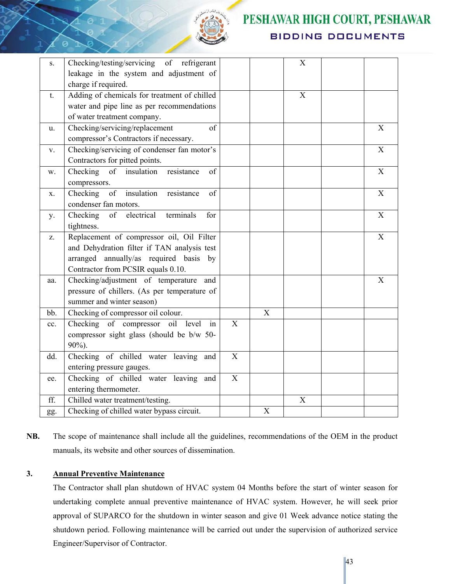

# PESHAWAR HIGH COURT, PESHAWAR **BIDDING DOCUMENTS**

| S.  | Checking/testing/servicing of refrigerant<br>leakage in the system and adjustment of |                           |             | $\mathbf X$ |             |
|-----|--------------------------------------------------------------------------------------|---------------------------|-------------|-------------|-------------|
|     | charge if required.                                                                  |                           |             |             |             |
| t.  | Adding of chemicals for treatment of chilled                                         |                           |             | X           |             |
|     | water and pipe line as per recommendations                                           |                           |             |             |             |
|     | of water treatment company.                                                          |                           |             |             |             |
| u.  | Checking/servicing/replacement<br>of                                                 |                           |             |             | X           |
|     | compressor's Contractors if necessary.                                               |                           |             |             |             |
| V.  | Checking/servicing of condenser fan motor's                                          |                           |             |             | $\mathbf X$ |
|     | Contractors for pitted points.                                                       |                           |             |             |             |
| w.  | Checking of insulation<br>resistance<br>of                                           |                           |             |             | X           |
|     | compressors.                                                                         |                           |             |             |             |
| Х.  | of insulation resistance<br>Checking<br>of                                           |                           |             |             | X           |
|     | condenser fan motors.                                                                |                           |             |             |             |
| у.  | electrical<br>Checking<br>of<br>terminals<br>for                                     |                           |             |             | X           |
|     | tightness.                                                                           |                           |             |             |             |
| Z.  | Replacement of compressor oil, Oil Filter                                            |                           |             |             | $\mathbf X$ |
|     | and Dehydration filter if TAN analysis test                                          |                           |             |             |             |
|     | arranged annually/as required basis by                                               |                           |             |             |             |
|     | Contractor from PCSIR equals 0.10.                                                   |                           |             |             |             |
| aa. | Checking/adjustment of temperature and                                               |                           |             |             | X           |
|     | pressure of chillers. (As per temperature of                                         |                           |             |             |             |
|     | summer and winter season)                                                            |                           |             |             |             |
| bb. | Checking of compressor oil colour.                                                   |                           | X           |             |             |
| cc. | Checking of compressor oil level<br>in                                               | $\boldsymbol{\mathrm{X}}$ |             |             |             |
|     | compressor sight glass (should be b/w 50-                                            |                           |             |             |             |
|     | 90%).                                                                                |                           |             |             |             |
| dd. | Checking of chilled water leaving and                                                | $\boldsymbol{\mathrm{X}}$ |             |             |             |
|     | entering pressure gauges.                                                            |                           |             |             |             |
| ee. | Checking of chilled water leaving and                                                | X                         |             |             |             |
|     | entering thermometer.                                                                |                           |             |             |             |
| ff. | Chilled water treatment/testing.                                                     |                           |             | X           |             |
| gg. | Checking of chilled water bypass circuit.                                            |                           | $\mathbf X$ |             |             |

**NB.** The scope of maintenance shall include all the guidelines, recommendations of the OEM in the product manuals, its website and other sources of dissemination.

#### **3. Annual Preventive Maintenance**

The Contractor shall plan shutdown of HVAC system 04 Months before the start of winter season for undertaking complete annual preventive maintenance of HVAC system. However, he will seek prior approval of SUPARCO for the shutdown in winter season and give 01 Week advance notice stating the shutdown period. Following maintenance will be carried out under the supervision of authorized service Engineer/Supervisor of Contractor.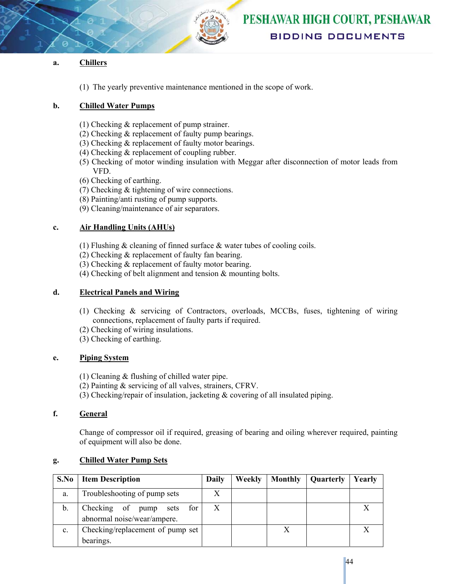

#### **a. Chillers**

(1) The yearly preventive maintenance mentioned in the scope of work.

#### **b. Chilled Water Pumps**

- (1) Checking & replacement of pump strainer.
- (2) Checking & replacement of faulty pump bearings.
- (3) Checking & replacement of faulty motor bearings.
- (4) Checking & replacement of coupling rubber.
- (5) Checking of motor winding insulation with Meggar after disconnection of motor leads from VFD.
- (6) Checking of earthing.
- (7) Checking & tightening of wire connections.
- (8) Painting/anti rusting of pump supports.
- (9) Cleaning/maintenance of air separators.

#### **c. Air Handling Units (AHUs)**

- (1) Flushing & cleaning of finned surface & water tubes of cooling coils.
- (2) Checking & replacement of faulty fan bearing.
- (3) Checking & replacement of faulty motor bearing.
- (4) Checking of belt alignment and tension & mounting bolts.

#### **d. Electrical Panels and Wiring**

- (1) Checking & servicing of Contractors, overloads, MCCBs, fuses, tightening of wiring connections, replacement of faulty parts if required.
- (2) Checking of wiring insulations.
- (3) Checking of earthing.

#### **e. Piping System**

- (1) Cleaning & flushing of chilled water pipe.
- (2) Painting & servicing of all valves, strainers, CFRV.
- (3) Checking/repair of insulation, jacketing & covering of all insulated piping.

#### **f. General**

Change of compressor oil if required, greasing of bearing and oiling wherever required, painting of equipment will also be done.

| S.No           | <b>Item Description</b>                                        | Daily | Weekly | Monthly | Quarterly | Yearly |
|----------------|----------------------------------------------------------------|-------|--------|---------|-----------|--------|
| a.             | Troubleshooting of pump sets                                   |       |        |         |           |        |
| b.             | Checking of pump<br>for<br>sets<br>abnormal noise/wear/ampere. |       |        |         |           |        |
| $\mathbf{c}$ . | Checking/replacement of pump set                               |       |        |         |           |        |
|                | bearings.                                                      |       |        |         |           |        |

#### **g. Chilled Water Pump Sets**